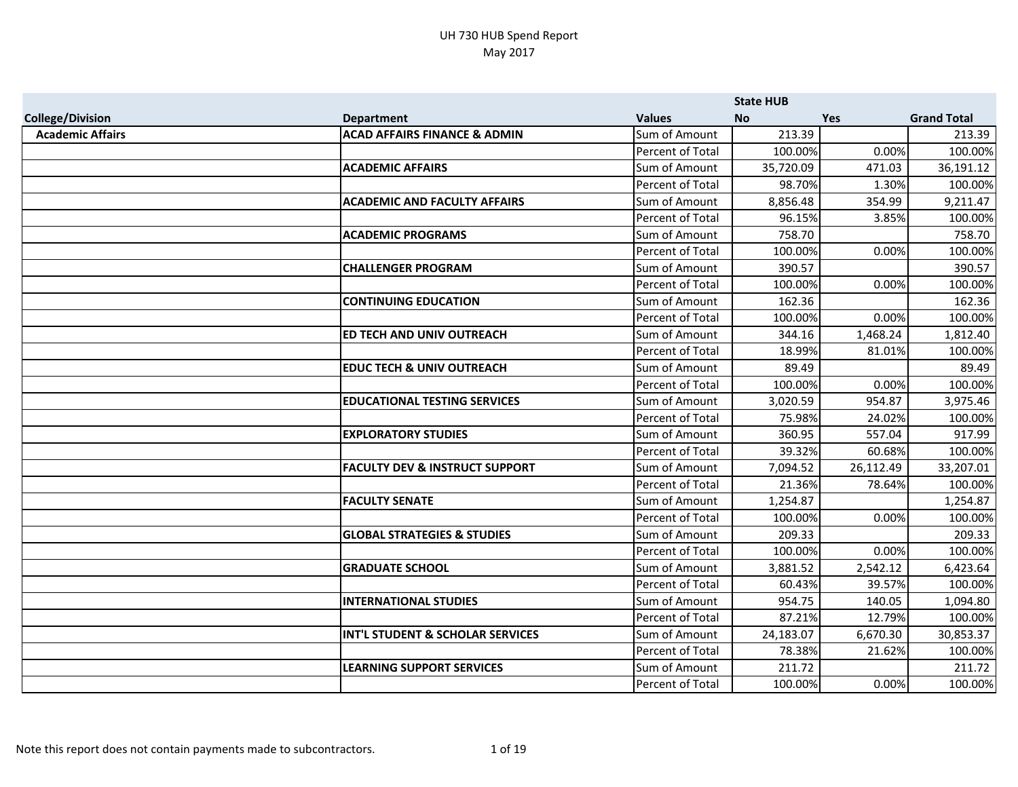|                         |                                           |                         | <b>State HUB</b> |            |                    |
|-------------------------|-------------------------------------------|-------------------------|------------------|------------|--------------------|
| <b>College/Division</b> | <b>Department</b>                         | <b>Values</b>           | <b>No</b>        | <b>Yes</b> | <b>Grand Total</b> |
| <b>Academic Affairs</b> | <b>ACAD AFFAIRS FINANCE &amp; ADMIN</b>   | Sum of Amount           | 213.39           |            | 213.39             |
|                         |                                           | Percent of Total        | 100.00%          | 0.00%      | 100.00%            |
|                         | <b>ACADEMIC AFFAIRS</b>                   | Sum of Amount           | 35,720.09        | 471.03     | 36,191.12          |
|                         |                                           | Percent of Total        | 98.70%           | 1.30%      | 100.00%            |
|                         | <b>ACADEMIC AND FACULTY AFFAIRS</b>       | Sum of Amount           | 8,856.48         | 354.99     | 9,211.47           |
|                         |                                           | Percent of Total        | 96.15%           | 3.85%      | 100.00%            |
|                         | <b>ACADEMIC PROGRAMS</b>                  | Sum of Amount           | 758.70           |            | 758.70             |
|                         |                                           | <b>Percent of Total</b> | 100.00%          | 0.00%      | 100.00%            |
|                         | <b>CHALLENGER PROGRAM</b>                 | Sum of Amount           | 390.57           |            | 390.57             |
|                         |                                           | Percent of Total        | 100.00%          | 0.00%      | 100.00%            |
|                         | <b>CONTINUING EDUCATION</b>               | Sum of Amount           | 162.36           |            | 162.36             |
|                         |                                           | Percent of Total        | 100.00%          | 0.00%      | 100.00%            |
|                         | ED TECH AND UNIV OUTREACH                 | Sum of Amount           | 344.16           | 1,468.24   | 1,812.40           |
|                         |                                           | <b>Percent of Total</b> | 18.99%           | 81.01%     | 100.00%            |
|                         | <b>EDUC TECH &amp; UNIV OUTREACH</b>      | Sum of Amount           | 89.49            |            | 89.49              |
|                         |                                           | <b>Percent of Total</b> | 100.00%          | 0.00%      | 100.00%            |
|                         | <b>EDUCATIONAL TESTING SERVICES</b>       | Sum of Amount           | 3,020.59         | 954.87     | 3,975.46           |
|                         |                                           | Percent of Total        | 75.98%           | 24.02%     | 100.00%            |
|                         | <b>EXPLORATORY STUDIES</b>                | Sum of Amount           | 360.95           | 557.04     | 917.99             |
|                         |                                           | Percent of Total        | 39.32%           | 60.68%     | 100.00%            |
|                         | <b>FACULTY DEV &amp; INSTRUCT SUPPORT</b> | Sum of Amount           | 7,094.52         | 26,112.49  | 33,207.01          |
|                         |                                           | Percent of Total        | 21.36%           | 78.64%     | 100.00%            |
|                         | <b>FACULTY SENATE</b>                     | Sum of Amount           | 1,254.87         |            | 1,254.87           |
|                         |                                           | Percent of Total        | 100.00%          | 0.00%      | 100.00%            |
|                         | <b>GLOBAL STRATEGIES &amp; STUDIES</b>    | Sum of Amount           | 209.33           |            | 209.33             |
|                         |                                           | Percent of Total        | 100.00%          | 0.00%      | 100.00%            |
|                         | <b>GRADUATE SCHOOL</b>                    | Sum of Amount           | 3,881.52         | 2,542.12   | 6,423.64           |
|                         |                                           | Percent of Total        | 60.43%           | 39.57%     | 100.00%            |
|                         | <b>INTERNATIONAL STUDIES</b>              | Sum of Amount           | 954.75           | 140.05     | 1,094.80           |
|                         |                                           | Percent of Total        | 87.21%           | 12.79%     | 100.00%            |
|                         | INT'L STUDENT & SCHOLAR SERVICES          | Sum of Amount           | 24,183.07        | 6,670.30   | 30,853.37          |
|                         |                                           | Percent of Total        | 78.38%           | 21.62%     | 100.00%            |
|                         | <b>LEARNING SUPPORT SERVICES</b>          | Sum of Amount           | 211.72           |            | 211.72             |
|                         |                                           | Percent of Total        | 100.00%          | 0.00%      | 100.00%            |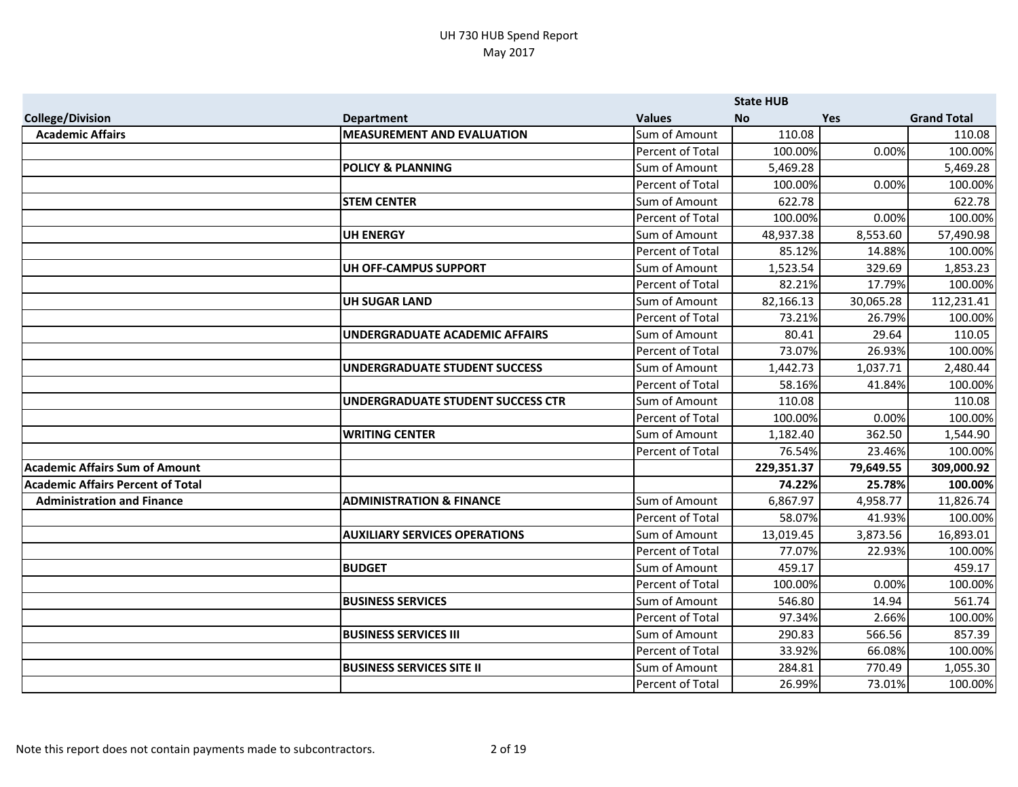|                                          |                                          |                         | <b>State HUB</b> |           |                    |
|------------------------------------------|------------------------------------------|-------------------------|------------------|-----------|--------------------|
| <b>College/Division</b>                  | <b>Department</b>                        | <b>Values</b>           | <b>No</b>        | Yes       | <b>Grand Total</b> |
| <b>Academic Affairs</b>                  | <b>MEASUREMENT AND EVALUATION</b>        | Sum of Amount           | 110.08           |           | 110.08             |
|                                          |                                          | Percent of Total        | 100.00%          | 0.00%     | 100.00%            |
|                                          | <b>POLICY &amp; PLANNING</b>             | Sum of Amount           | 5,469.28         |           | 5,469.28           |
|                                          |                                          | Percent of Total        | 100.00%          | 0.00%     | 100.00%            |
|                                          | <b>STEM CENTER</b>                       | Sum of Amount           | 622.78           |           | 622.78             |
|                                          |                                          | Percent of Total        | 100.00%          | 0.00%     | 100.00%            |
|                                          | <b>UH ENERGY</b>                         | Sum of Amount           | 48,937.38        | 8,553.60  | 57,490.98          |
|                                          |                                          | <b>Percent of Total</b> | 85.12%           | 14.88%    | 100.00%            |
|                                          | <b>UH OFF-CAMPUS SUPPORT</b>             | Sum of Amount           | 1,523.54         | 329.69    | 1,853.23           |
|                                          |                                          | Percent of Total        | 82.21%           | 17.79%    | 100.00%            |
|                                          | <b>UH SUGAR LAND</b>                     | Sum of Amount           | 82,166.13        | 30,065.28 | 112,231.41         |
|                                          |                                          | Percent of Total        | 73.21%           | 26.79%    | 100.00%            |
|                                          | <b>UNDERGRADUATE ACADEMIC AFFAIRS</b>    | Sum of Amount           | 80.41            | 29.64     | 110.05             |
|                                          |                                          | <b>Percent of Total</b> | 73.07%           | 26.93%    | 100.00%            |
|                                          | <b>UNDERGRADUATE STUDENT SUCCESS</b>     | Sum of Amount           | 1,442.73         | 1,037.71  | 2,480.44           |
|                                          |                                          | <b>Percent of Total</b> | 58.16%           | 41.84%    | 100.00%            |
|                                          | <b>UNDERGRADUATE STUDENT SUCCESS CTR</b> | Sum of Amount           | 110.08           |           | 110.08             |
|                                          |                                          | Percent of Total        | 100.00%          | 0.00%     | 100.00%            |
|                                          | <b>WRITING CENTER</b>                    | Sum of Amount           | 1,182.40         | 362.50    | 1,544.90           |
|                                          |                                          | Percent of Total        | 76.54%           | 23.46%    | 100.00%            |
| <b>Academic Affairs Sum of Amount</b>    |                                          |                         | 229,351.37       | 79,649.55 | 309,000.92         |
| <b>Academic Affairs Percent of Total</b> |                                          |                         | 74.22%           | 25.78%    | 100.00%            |
| <b>Administration and Finance</b>        | <b>ADMINISTRATION &amp; FINANCE</b>      | Sum of Amount           | 6,867.97         | 4,958.77  | 11,826.74          |
|                                          |                                          | Percent of Total        | 58.07%           | 41.93%    | 100.00%            |
|                                          | <b>AUXILIARY SERVICES OPERATIONS</b>     | Sum of Amount           | 13,019.45        | 3,873.56  | 16,893.01          |
|                                          |                                          | Percent of Total        | 77.07%           | 22.93%    | 100.00%            |
|                                          | <b>BUDGET</b>                            | Sum of Amount           | 459.17           |           | 459.17             |
|                                          |                                          | Percent of Total        | 100.00%          | 0.00%     | 100.00%            |
|                                          | <b>BUSINESS SERVICES</b>                 | Sum of Amount           | 546.80           | 14.94     | 561.74             |
|                                          |                                          | Percent of Total        | 97.34%           | 2.66%     | 100.00%            |
|                                          | <b>BUSINESS SERVICES III</b>             | Sum of Amount           | 290.83           | 566.56    | 857.39             |
|                                          |                                          | Percent of Total        | 33.92%           | 66.08%    | 100.00%            |
|                                          | <b>BUSINESS SERVICES SITE II</b>         | Sum of Amount           | 284.81           | 770.49    | 1,055.30           |
|                                          |                                          | Percent of Total        | 26.99%           | 73.01%    | 100.00%            |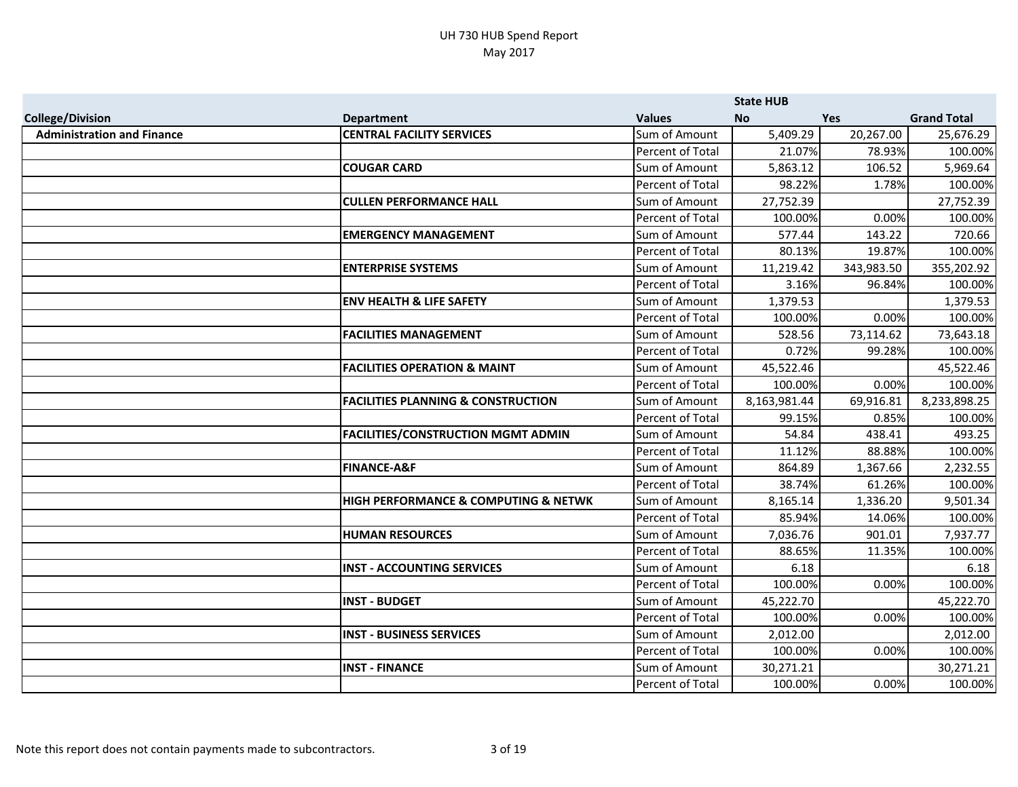|                                   |                                               |                         | <b>State HUB</b> |            |                    |
|-----------------------------------|-----------------------------------------------|-------------------------|------------------|------------|--------------------|
| <b>College/Division</b>           | <b>Department</b>                             | <b>Values</b>           | <b>No</b>        | Yes        | <b>Grand Total</b> |
| <b>Administration and Finance</b> | <b>CENTRAL FACILITY SERVICES</b>              | Sum of Amount           | 5,409.29         | 20,267.00  | 25,676.29          |
|                                   |                                               | Percent of Total        | 21.07%           | 78.93%     | 100.00%            |
|                                   | <b>COUGAR CARD</b>                            | Sum of Amount           | 5,863.12         | 106.52     | 5,969.64           |
|                                   |                                               | Percent of Total        | 98.22%           | 1.78%      | 100.00%            |
|                                   | <b>CULLEN PERFORMANCE HALL</b>                | Sum of Amount           | 27,752.39        |            | 27,752.39          |
|                                   |                                               | Percent of Total        | 100.00%          | 0.00%      | 100.00%            |
|                                   | <b>EMERGENCY MANAGEMENT</b>                   | Sum of Amount           | 577.44           | 143.22     | 720.66             |
|                                   |                                               | Percent of Total        | 80.13%           | 19.87%     | 100.00%            |
|                                   | <b>ENTERPRISE SYSTEMS</b>                     | Sum of Amount           | 11,219.42        | 343,983.50 | 355,202.92         |
|                                   |                                               | Percent of Total        | 3.16%            | 96.84%     | 100.00%            |
|                                   | <b>ENV HEALTH &amp; LIFE SAFETY</b>           | Sum of Amount           | 1,379.53         |            | 1,379.53           |
|                                   |                                               | <b>Percent of Total</b> | 100.00%          | 0.00%      | 100.00%            |
|                                   | <b>FACILITIES MANAGEMENT</b>                  | Sum of Amount           | 528.56           | 73,114.62  | 73,643.18          |
|                                   |                                               | <b>Percent of Total</b> | 0.72%            | 99.28%     | 100.00%            |
|                                   | <b>FACILITIES OPERATION &amp; MAINT</b>       | Sum of Amount           | 45,522.46        |            | 45,522.46          |
|                                   |                                               | Percent of Total        | 100.00%          | 0.00%      | 100.00%            |
|                                   | <b>FACILITIES PLANNING &amp; CONSTRUCTION</b> | Sum of Amount           | 8,163,981.44     | 69,916.81  | 8,233,898.25       |
|                                   |                                               | Percent of Total        | 99.15%           | 0.85%      | 100.00%            |
|                                   | <b>FACILITIES/CONSTRUCTION MGMT ADMIN</b>     | Sum of Amount           | 54.84            | 438.41     | 493.25             |
|                                   |                                               | Percent of Total        | 11.12%           | 88.88%     | 100.00%            |
|                                   | <b>FINANCE-A&amp;F</b>                        | Sum of Amount           | 864.89           | 1,367.66   | 2,232.55           |
|                                   |                                               | Percent of Total        | 38.74%           | 61.26%     | 100.00%            |
|                                   | HIGH PERFORMANCE & COMPUTING & NETWK          | Sum of Amount           | 8,165.14         | 1,336.20   | 9,501.34           |
|                                   |                                               | Percent of Total        | 85.94%           | 14.06%     | 100.00%            |
|                                   | <b>HUMAN RESOURCES</b>                        | Sum of Amount           | 7,036.76         | 901.01     | 7,937.77           |
|                                   |                                               | <b>Percent of Total</b> | 88.65%           | 11.35%     | 100.00%            |
|                                   | <b>INST - ACCOUNTING SERVICES</b>             | Sum of Amount           | 6.18             |            | 6.18               |
|                                   |                                               | Percent of Total        | 100.00%          | 0.00%      | 100.00%            |
|                                   | <b>INST - BUDGET</b>                          | Sum of Amount           | 45,222.70        |            | 45,222.70          |
|                                   |                                               | Percent of Total        | 100.00%          | 0.00%      | 100.00%            |
|                                   | <b>INST - BUSINESS SERVICES</b>               | Sum of Amount           | 2,012.00         |            | 2,012.00           |
|                                   |                                               | Percent of Total        | 100.00%          | 0.00%      | 100.00%            |
|                                   | <b>INST - FINANCE</b>                         | Sum of Amount           | 30,271.21        |            | 30,271.21          |
|                                   |                                               | Percent of Total        | 100.00%          | 0.00%      | 100.00%            |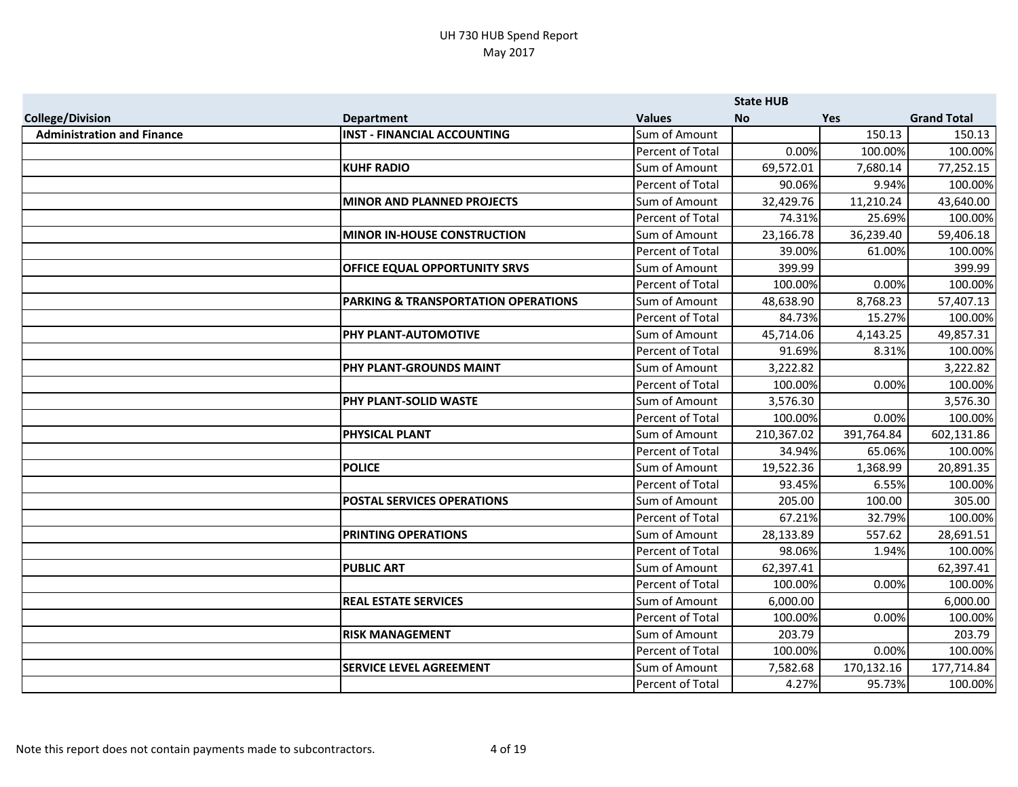|                                   |                                      |                  | <b>State HUB</b> |            |                    |
|-----------------------------------|--------------------------------------|------------------|------------------|------------|--------------------|
| <b>College/Division</b>           | <b>Department</b>                    | <b>Values</b>    | <b>No</b>        | <b>Yes</b> | <b>Grand Total</b> |
| <b>Administration and Finance</b> | <b>INST - FINANCIAL ACCOUNTING</b>   | Sum of Amount    |                  | 150.13     | 150.13             |
|                                   |                                      | Percent of Total | 0.00%            | 100.00%    | 100.00%            |
|                                   | <b>KUHF RADIO</b>                    | Sum of Amount    | 69,572.01        | 7,680.14   | 77,252.15          |
|                                   |                                      | Percent of Total | 90.06%           | 9.94%      | 100.00%            |
|                                   | <b>MINOR AND PLANNED PROJECTS</b>    | Sum of Amount    | 32,429.76        | 11,210.24  | 43,640.00          |
|                                   |                                      | Percent of Total | 74.31%           | 25.69%     | 100.00%            |
|                                   | <b>MINOR IN-HOUSE CONSTRUCTION</b>   | Sum of Amount    | 23,166.78        | 36,239.40  | 59,406.18          |
|                                   |                                      | Percent of Total | 39.00%           | 61.00%     | 100.00%            |
|                                   | <b>OFFICE EQUAL OPPORTUNITY SRVS</b> | Sum of Amount    | 399.99           |            | 399.99             |
|                                   |                                      | Percent of Total | 100.00%          | 0.00%      | 100.00%            |
|                                   | PARKING & TRANSPORTATION OPERATIONS  | Sum of Amount    | 48,638.90        | 8,768.23   | 57,407.13          |
|                                   |                                      | Percent of Total | 84.73%           | 15.27%     | 100.00%            |
|                                   | <b>PHY PLANT-AUTOMOTIVE</b>          | Sum of Amount    | 45,714.06        | 4,143.25   | 49,857.31          |
|                                   |                                      | Percent of Total | 91.69%           | 8.31%      | 100.00%            |
|                                   | <b>PHY PLANT-GROUNDS MAINT</b>       | Sum of Amount    | 3,222.82         |            | 3,222.82           |
|                                   |                                      | Percent of Total | 100.00%          | 0.00%      | 100.00%            |
|                                   | PHY PLANT-SOLID WASTE                | Sum of Amount    | 3,576.30         |            | 3,576.30           |
|                                   |                                      | Percent of Total | 100.00%          | 0.00%      | 100.00%            |
|                                   | <b>PHYSICAL PLANT</b>                | Sum of Amount    | 210,367.02       | 391,764.84 | 602,131.86         |
|                                   |                                      | Percent of Total | 34.94%           | 65.06%     | 100.00%            |
|                                   | <b>POLICE</b>                        | Sum of Amount    | 19,522.36        | 1,368.99   | 20,891.35          |
|                                   |                                      | Percent of Total | 93.45%           | 6.55%      | 100.00%            |
|                                   | <b>POSTAL SERVICES OPERATIONS</b>    | Sum of Amount    | 205.00           | 100.00     | 305.00             |
|                                   |                                      | Percent of Total | 67.21%           | 32.79%     | 100.00%            |
|                                   | <b>PRINTING OPERATIONS</b>           | Sum of Amount    | 28,133.89        | 557.62     | 28,691.51          |
|                                   |                                      | Percent of Total | 98.06%           | 1.94%      | 100.00%            |
|                                   | <b>PUBLIC ART</b>                    | Sum of Amount    | 62,397.41        |            | 62,397.41          |
|                                   |                                      | Percent of Total | 100.00%          | 0.00%      | 100.00%            |
|                                   | <b>REAL ESTATE SERVICES</b>          | Sum of Amount    | 6,000.00         |            | 6,000.00           |
|                                   |                                      | Percent of Total | 100.00%          | 0.00%      | 100.00%            |
|                                   | <b>RISK MANAGEMENT</b>               | Sum of Amount    | 203.79           |            | 203.79             |
|                                   |                                      | Percent of Total | 100.00%          | 0.00%      | 100.00%            |
|                                   | <b>SERVICE LEVEL AGREEMENT</b>       | Sum of Amount    | 7,582.68         | 170,132.16 | 177,714.84         |
|                                   |                                      | Percent of Total | 4.27%            | 95.73%     | 100.00%            |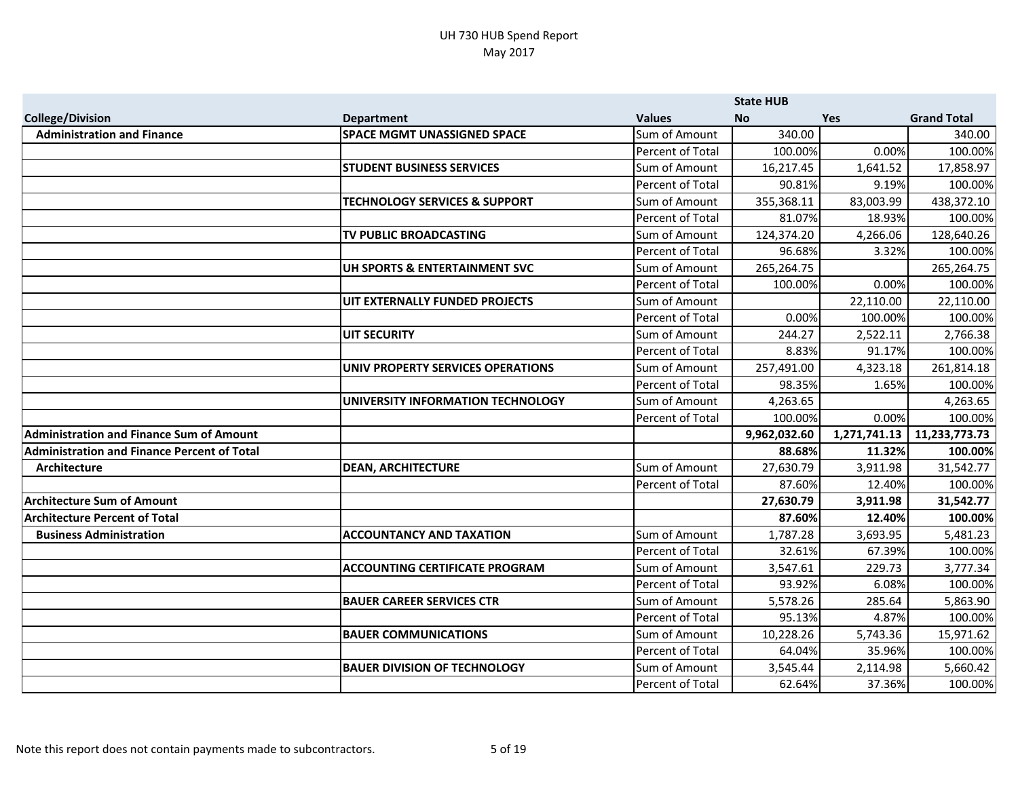|                                                 |                                          |                  | <b>State HUB</b> |              |                    |
|-------------------------------------------------|------------------------------------------|------------------|------------------|--------------|--------------------|
| <b>College/Division</b>                         | <b>Department</b>                        | <b>Values</b>    | <b>No</b>        | <b>Yes</b>   | <b>Grand Total</b> |
| <b>Administration and Finance</b>               | <b>SPACE MGMT UNASSIGNED SPACE</b>       | Sum of Amount    | 340.00           |              | 340.00             |
|                                                 |                                          | Percent of Total | 100.00%          | 0.00%        | 100.00%            |
|                                                 | <b>STUDENT BUSINESS SERVICES</b>         | Sum of Amount    | 16,217.45        | 1,641.52     | 17,858.97          |
|                                                 |                                          | Percent of Total | 90.81%           | 9.19%        | 100.00%            |
|                                                 | <b>TECHNOLOGY SERVICES &amp; SUPPORT</b> | Sum of Amount    | 355,368.11       | 83,003.99    | 438,372.10         |
|                                                 |                                          | Percent of Total | 81.07%           | 18.93%       | 100.00%            |
|                                                 | TV PUBLIC BROADCASTING                   | Sum of Amount    | 124,374.20       | 4,266.06     | 128,640.26         |
|                                                 |                                          | Percent of Total | 96.68%           | 3.32%        | 100.00%            |
|                                                 | UH SPORTS & ENTERTAINMENT SVC            | Sum of Amount    | 265,264.75       |              | 265,264.75         |
|                                                 |                                          | Percent of Total | 100.00%          | 0.00%        | 100.00%            |
|                                                 | UIT EXTERNALLY FUNDED PROJECTS           | Sum of Amount    |                  | 22,110.00    | 22,110.00          |
|                                                 |                                          | Percent of Total | 0.00%            | 100.00%      | 100.00%            |
|                                                 | UIT SECURITY                             | Sum of Amount    | 244.27           | 2,522.11     | 2,766.38           |
|                                                 |                                          | Percent of Total | 8.83%            | 91.17%       | 100.00%            |
|                                                 | UNIV PROPERTY SERVICES OPERATIONS        | Sum of Amount    | 257,491.00       | 4,323.18     | 261,814.18         |
|                                                 |                                          | Percent of Total | 98.35%           | 1.65%        | 100.00%            |
|                                                 | UNIVERSITY INFORMATION TECHNOLOGY        | Sum of Amount    | 4,263.65         |              | 4,263.65           |
|                                                 |                                          | Percent of Total | 100.00%          | 0.00%        | 100.00%            |
| <b>Administration and Finance Sum of Amount</b> |                                          |                  | 9,962,032.60     | 1,271,741.13 | 11,233,773.73      |
| Administration and Finance Percent of Total     |                                          |                  | 88.68%           | 11.32%       | 100.00%            |
| <b>Architecture</b>                             | <b>DEAN, ARCHITECTURE</b>                | Sum of Amount    | 27,630.79        | 3,911.98     | 31,542.77          |
|                                                 |                                          | Percent of Total | 87.60%           | 12.40%       | 100.00%            |
| <b>Architecture Sum of Amount</b>               |                                          |                  | 27,630.79        | 3,911.98     | 31,542.77          |
| <b>Architecture Percent of Total</b>            |                                          |                  | 87.60%           | 12.40%       | 100.00%            |
| <b>Business Administration</b>                  | <b>ACCOUNTANCY AND TAXATION</b>          | Sum of Amount    | 1,787.28         | 3,693.95     | 5,481.23           |
|                                                 |                                          | Percent of Total | 32.61%           | 67.39%       | 100.00%            |
|                                                 | <b>ACCOUNTING CERTIFICATE PROGRAM</b>    | Sum of Amount    | 3,547.61         | 229.73       | 3,777.34           |
|                                                 |                                          | Percent of Total | 93.92%           | 6.08%        | 100.00%            |
|                                                 | <b>BAUER CAREER SERVICES CTR</b>         | Sum of Amount    | 5,578.26         | 285.64       | 5,863.90           |
|                                                 |                                          | Percent of Total | 95.13%           | 4.87%        | 100.00%            |
|                                                 | <b>BAUER COMMUNICATIONS</b>              | Sum of Amount    | 10,228.26        | 5,743.36     | 15,971.62          |
|                                                 |                                          | Percent of Total | 64.04%           | 35.96%       | 100.00%            |
|                                                 | <b>BAUER DIVISION OF TECHNOLOGY</b>      | Sum of Amount    | 3,545.44         | 2,114.98     | 5,660.42           |
|                                                 |                                          | Percent of Total | 62.64%           | 37.36%       | 100.00%            |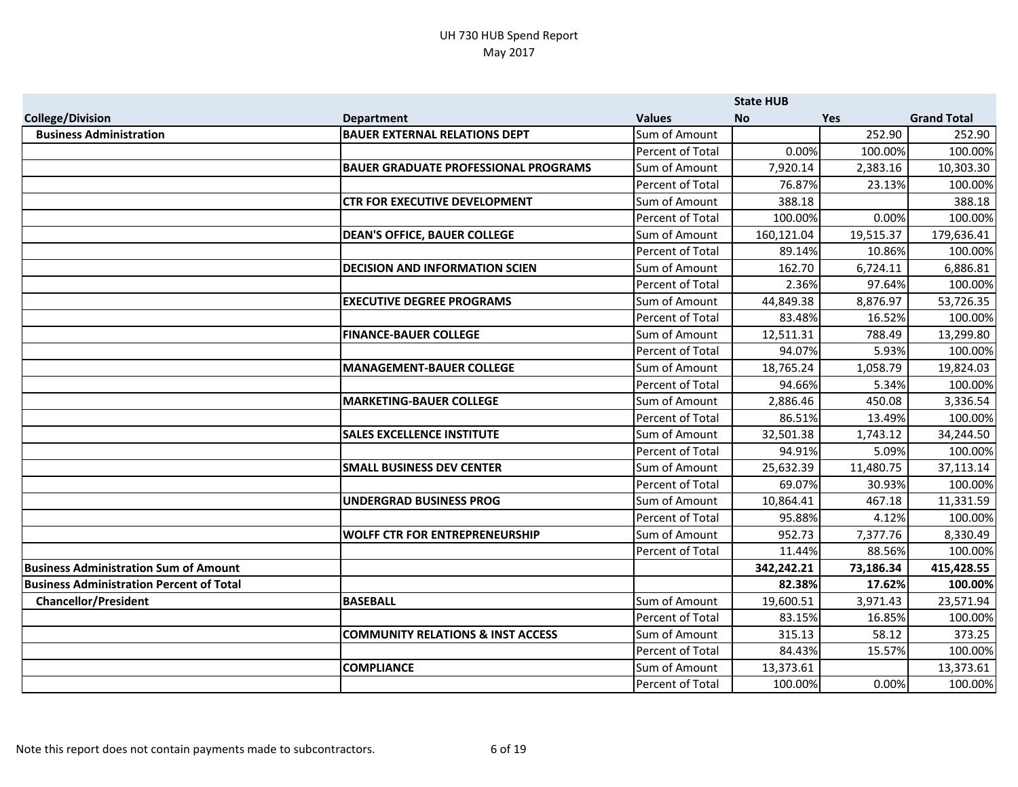|                                                 |                                              |                  | <b>State HUB</b> |           |                    |
|-------------------------------------------------|----------------------------------------------|------------------|------------------|-----------|--------------------|
| <b>College/Division</b>                         | <b>Department</b>                            | <b>Values</b>    | <b>No</b>        | Yes       | <b>Grand Total</b> |
| <b>Business Administration</b>                  | <b>BAUER EXTERNAL RELATIONS DEPT</b>         | Sum of Amount    |                  | 252.90    | 252.90             |
|                                                 |                                              | Percent of Total | 0.00%            | 100.00%   | 100.00%            |
|                                                 | <b>BAUER GRADUATE PROFESSIONAL PROGRAMS</b>  | Sum of Amount    | 7,920.14         | 2,383.16  | 10,303.30          |
|                                                 |                                              | Percent of Total | 76.87%           | 23.13%    | 100.00%            |
|                                                 | <b>CTR FOR EXECUTIVE DEVELOPMENT</b>         | Sum of Amount    | 388.18           |           | 388.18             |
|                                                 |                                              | Percent of Total | 100.00%          | 0.00%     | 100.00%            |
|                                                 | <b>DEAN'S OFFICE, BAUER COLLEGE</b>          | Sum of Amount    | 160,121.04       | 19,515.37 | 179,636.41         |
|                                                 |                                              | Percent of Total | 89.14%           | 10.86%    | 100.00%            |
|                                                 | <b>DECISION AND INFORMATION SCIEN</b>        | Sum of Amount    | 162.70           | 6,724.11  | 6,886.81           |
|                                                 |                                              | Percent of Total | 2.36%            | 97.64%    | 100.00%            |
|                                                 | <b>EXECUTIVE DEGREE PROGRAMS</b>             | Sum of Amount    | 44,849.38        | 8,876.97  | 53,726.35          |
|                                                 |                                              | Percent of Total | 83.48%           | 16.52%    | 100.00%            |
|                                                 | <b>FINANCE-BAUER COLLEGE</b>                 | Sum of Amount    | 12,511.31        | 788.49    | 13,299.80          |
|                                                 |                                              | Percent of Total | 94.07%           | 5.93%     | 100.00%            |
|                                                 | MANAGEMENT-BAUER COLLEGE                     | Sum of Amount    | 18,765.24        | 1,058.79  | 19,824.03          |
|                                                 |                                              | Percent of Total | 94.66%           | 5.34%     | 100.00%            |
|                                                 | <b>MARKETING-BAUER COLLEGE</b>               | Sum of Amount    | 2,886.46         | 450.08    | 3,336.54           |
|                                                 |                                              | Percent of Total | 86.51%           | 13.49%    | 100.00%            |
|                                                 | <b>SALES EXCELLENCE INSTITUTE</b>            | Sum of Amount    | 32,501.38        | 1,743.12  | 34,244.50          |
|                                                 |                                              | Percent of Total | 94.91%           | 5.09%     | 100.00%            |
|                                                 | <b>SMALL BUSINESS DEV CENTER</b>             | Sum of Amount    | 25,632.39        | 11,480.75 | 37,113.14          |
|                                                 |                                              | Percent of Total | 69.07%           | 30.93%    | 100.00%            |
|                                                 | UNDERGRAD BUSINESS PROG                      | Sum of Amount    | 10,864.41        | 467.18    | 11,331.59          |
|                                                 |                                              | Percent of Total | 95.88%           | 4.12%     | 100.00%            |
|                                                 | <b>WOLFF CTR FOR ENTREPRENEURSHIP</b>        | Sum of Amount    | 952.73           | 7,377.76  | 8,330.49           |
|                                                 |                                              | Percent of Total | 11.44%           | 88.56%    | 100.00%            |
| <b>Business Administration Sum of Amount</b>    |                                              |                  | 342,242.21       | 73,186.34 | 415,428.55         |
| <b>Business Administration Percent of Total</b> |                                              |                  | 82.38%           | 17.62%    | 100.00%            |
| <b>Chancellor/President</b>                     | <b>BASEBALL</b>                              | Sum of Amount    | 19,600.51        | 3,971.43  | 23,571.94          |
|                                                 |                                              | Percent of Total | 83.15%           | 16.85%    | 100.00%            |
|                                                 | <b>COMMUNITY RELATIONS &amp; INST ACCESS</b> | Sum of Amount    | 315.13           | 58.12     | 373.25             |
|                                                 |                                              | Percent of Total | 84.43%           | 15.57%    | 100.00%            |
|                                                 | <b>COMPLIANCE</b>                            | Sum of Amount    | 13,373.61        |           | 13,373.61          |
|                                                 |                                              | Percent of Total | 100.00%          | 0.00%     | 100.00%            |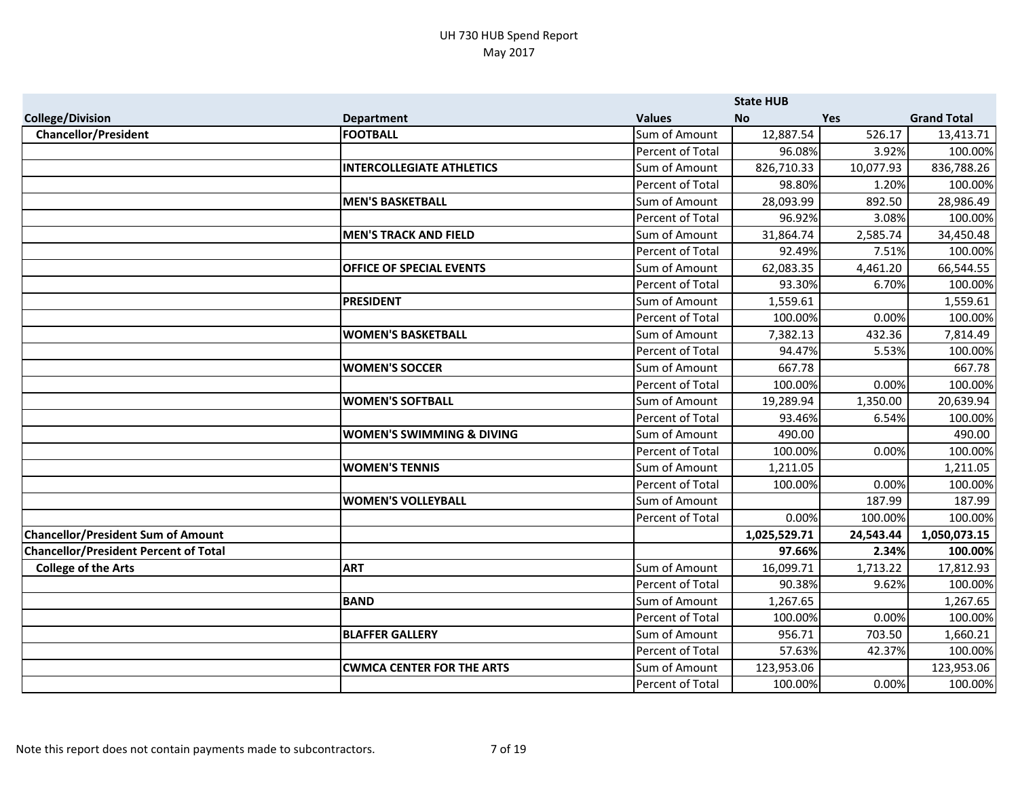|                                              |                                      |                  | <b>State HUB</b> |            |                    |
|----------------------------------------------|--------------------------------------|------------------|------------------|------------|--------------------|
| <b>College/Division</b>                      | <b>Department</b>                    | <b>Values</b>    | <b>No</b>        | <b>Yes</b> | <b>Grand Total</b> |
| <b>Chancellor/President</b>                  | <b>FOOTBALL</b>                      | Sum of Amount    | 12,887.54        | 526.17     | 13,413.71          |
|                                              |                                      | Percent of Total | 96.08%           | 3.92%      | 100.00%            |
|                                              | <b>INTERCOLLEGIATE ATHLETICS</b>     | Sum of Amount    | 826,710.33       | 10,077.93  | 836,788.26         |
|                                              |                                      | Percent of Total | 98.80%           | 1.20%      | 100.00%            |
|                                              | <b>MEN'S BASKETBALL</b>              | Sum of Amount    | 28,093.99        | 892.50     | 28,986.49          |
|                                              |                                      | Percent of Total | 96.92%           | 3.08%      | 100.00%            |
|                                              | <b>MEN'S TRACK AND FIELD</b>         | Sum of Amount    | 31,864.74        | 2,585.74   | 34,450.48          |
|                                              |                                      | Percent of Total | 92.49%           | 7.51%      | 100.00%            |
|                                              | <b>OFFICE OF SPECIAL EVENTS</b>      | Sum of Amount    | 62,083.35        | 4,461.20   | 66,544.55          |
|                                              |                                      | Percent of Total | 93.30%           | 6.70%      | 100.00%            |
|                                              | <b>PRESIDENT</b>                     | Sum of Amount    | 1,559.61         |            | 1,559.61           |
|                                              |                                      | Percent of Total | 100.00%          | 0.00%      | 100.00%            |
|                                              | <b>WOMEN'S BASKETBALL</b>            | Sum of Amount    | 7,382.13         | 432.36     | 7,814.49           |
|                                              |                                      | Percent of Total | 94.47%           | 5.53%      | 100.00%            |
|                                              | <b>WOMEN'S SOCCER</b>                | Sum of Amount    | 667.78           |            | 667.78             |
|                                              |                                      | Percent of Total | 100.00%          | 0.00%      | 100.00%            |
|                                              | <b>WOMEN'S SOFTBALL</b>              | Sum of Amount    | 19,289.94        | 1,350.00   | 20,639.94          |
|                                              |                                      | Percent of Total | 93.46%           | 6.54%      | 100.00%            |
|                                              | <b>WOMEN'S SWIMMING &amp; DIVING</b> | Sum of Amount    | 490.00           |            | 490.00             |
|                                              |                                      | Percent of Total | 100.00%          | 0.00%      | 100.00%            |
|                                              | <b>WOMEN'S TENNIS</b>                | Sum of Amount    | 1,211.05         |            | 1,211.05           |
|                                              |                                      | Percent of Total | 100.00%          | 0.00%      | 100.00%            |
|                                              | <b>WOMEN'S VOLLEYBALL</b>            | Sum of Amount    |                  | 187.99     | 187.99             |
|                                              |                                      | Percent of Total | 0.00%            | 100.00%    | 100.00%            |
| <b>Chancellor/President Sum of Amount</b>    |                                      |                  | 1,025,529.71     | 24,543.44  | 1,050,073.15       |
| <b>Chancellor/President Percent of Total</b> |                                      |                  | 97.66%           | 2.34%      | 100.00%            |
| <b>College of the Arts</b>                   | <b>ART</b>                           | Sum of Amount    | 16,099.71        | 1,713.22   | 17,812.93          |
|                                              |                                      | Percent of Total | 90.38%           | 9.62%      | 100.00%            |
|                                              | <b>BAND</b>                          | Sum of Amount    | 1,267.65         |            | 1,267.65           |
|                                              |                                      | Percent of Total | 100.00%          | 0.00%      | 100.00%            |
|                                              | <b>BLAFFER GALLERY</b>               | Sum of Amount    | 956.71           | 703.50     | 1,660.21           |
|                                              |                                      | Percent of Total | 57.63%           | 42.37%     | 100.00%            |
|                                              | <b>CWMCA CENTER FOR THE ARTS</b>     | Sum of Amount    | 123,953.06       |            | 123,953.06         |
|                                              |                                      | Percent of Total | 100.00%          | 0.00%      | 100.00%            |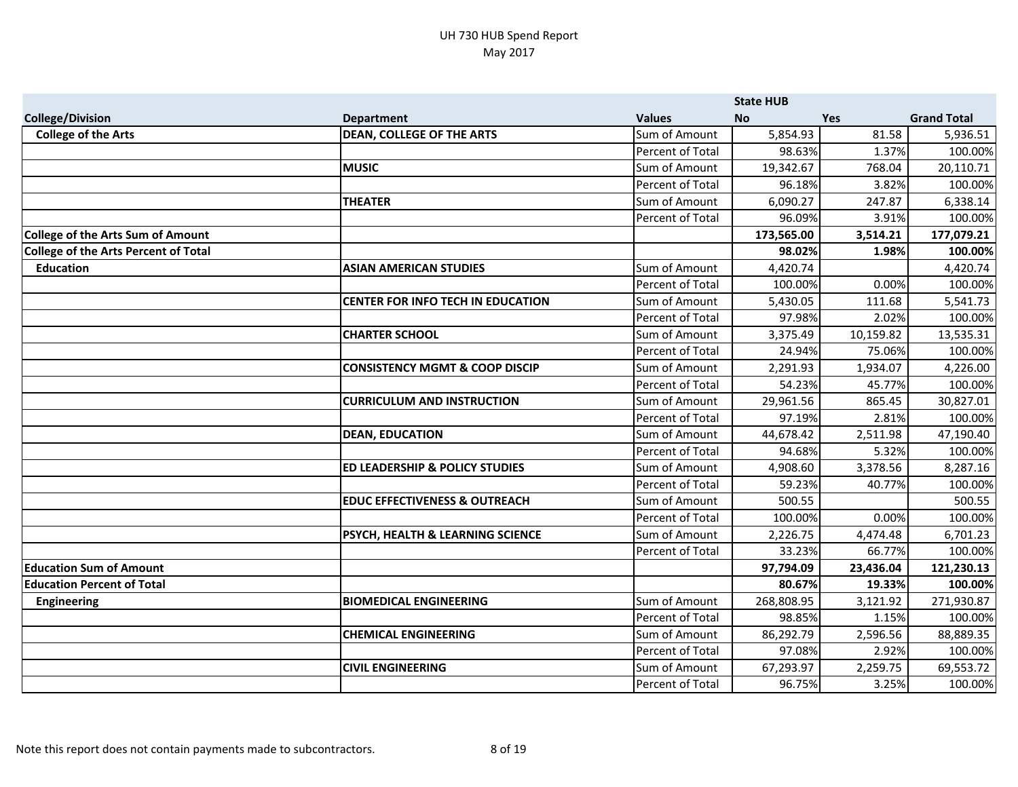|                                             |                                             |                         | <b>State HUB</b> |           |                    |
|---------------------------------------------|---------------------------------------------|-------------------------|------------------|-----------|--------------------|
| <b>College/Division</b>                     | <b>Department</b>                           | <b>Values</b>           | <b>No</b>        | Yes       | <b>Grand Total</b> |
| <b>College of the Arts</b>                  | <b>DEAN, COLLEGE OF THE ARTS</b>            | Sum of Amount           | 5,854.93         | 81.58     | 5,936.51           |
|                                             |                                             | Percent of Total        | 98.63%           | 1.37%     | 100.00%            |
|                                             | <b>IMUSIC</b>                               | Sum of Amount           | 19,342.67        | 768.04    | 20,110.71          |
|                                             |                                             | Percent of Total        | 96.18%           | 3.82%     | 100.00%            |
|                                             | <b>THEATER</b>                              | Sum of Amount           | 6,090.27         | 247.87    | 6,338.14           |
|                                             |                                             | Percent of Total        | 96.09%           | 3.91%     | 100.00%            |
| <b>College of the Arts Sum of Amount</b>    |                                             |                         | 173,565.00       | 3,514.21  | 177,079.21         |
| <b>College of the Arts Percent of Total</b> |                                             |                         | 98.02%           | 1.98%     | 100.00%            |
| <b>Education</b>                            | <b>ASIAN AMERICAN STUDIES</b>               | Sum of Amount           | 4,420.74         |           | 4,420.74           |
|                                             |                                             | <b>Percent of Total</b> | 100.00%          | 0.00%     | 100.00%            |
|                                             | <b>CENTER FOR INFO TECH IN EDUCATION</b>    | Sum of Amount           | 5,430.05         | 111.68    | 5,541.73           |
|                                             |                                             | Percent of Total        | 97.98%           | 2.02%     | 100.00%            |
|                                             | <b>CHARTER SCHOOL</b>                       | Sum of Amount           | 3,375.49         | 10,159.82 | 13,535.31          |
|                                             |                                             | Percent of Total        | 24.94%           | 75.06%    | 100.00%            |
|                                             | <b>CONSISTENCY MGMT &amp; COOP DISCIP</b>   | Sum of Amount           | 2,291.93         | 1,934.07  | 4,226.00           |
|                                             |                                             | Percent of Total        | 54.23%           | 45.77%    | 100.00%            |
|                                             | <b>CURRICULUM AND INSTRUCTION</b>           | Sum of Amount           | 29,961.56        | 865.45    | 30,827.01          |
|                                             |                                             | Percent of Total        | 97.19%           | 2.81%     | 100.00%            |
|                                             | <b>DEAN, EDUCATION</b>                      | Sum of Amount           | 44,678.42        | 2,511.98  | 47,190.40          |
|                                             |                                             | Percent of Total        | 94.68%           | 5.32%     | 100.00%            |
|                                             | <b>ED LEADERSHIP &amp; POLICY STUDIES</b>   | Sum of Amount           | 4,908.60         | 3,378.56  | 8,287.16           |
|                                             |                                             | Percent of Total        | 59.23%           | 40.77%    | 100.00%            |
|                                             | <b>EDUC EFFECTIVENESS &amp; OUTREACH</b>    | Sum of Amount           | 500.55           |           | 500.55             |
|                                             |                                             | Percent of Total        | 100.00%          | 0.00%     | 100.00%            |
|                                             | <b>PSYCH, HEALTH &amp; LEARNING SCIENCE</b> | Sum of Amount           | 2,226.75         | 4,474.48  | 6,701.23           |
|                                             |                                             | Percent of Total        | 33.23%           | 66.77%    | 100.00%            |
| <b>Education Sum of Amount</b>              |                                             |                         | 97,794.09        | 23,436.04 | 121,230.13         |
| <b>Education Percent of Total</b>           |                                             |                         | 80.67%           | 19.33%    | 100.00%            |
| <b>Engineering</b>                          | <b>BIOMEDICAL ENGINEERING</b>               | Sum of Amount           | 268,808.95       | 3,121.92  | 271,930.87         |
|                                             |                                             | Percent of Total        | 98.85%           | 1.15%     | 100.00%            |
|                                             | <b>CHEMICAL ENGINEERING</b>                 | Sum of Amount           | 86,292.79        | 2,596.56  | 88,889.35          |
|                                             |                                             | Percent of Total        | 97.08%           | 2.92%     | 100.00%            |
|                                             | <b>CIVIL ENGINEERING</b>                    | Sum of Amount           | 67,293.97        | 2,259.75  | 69,553.72          |
|                                             |                                             | Percent of Total        | 96.75%           | 3.25%     | 100.00%            |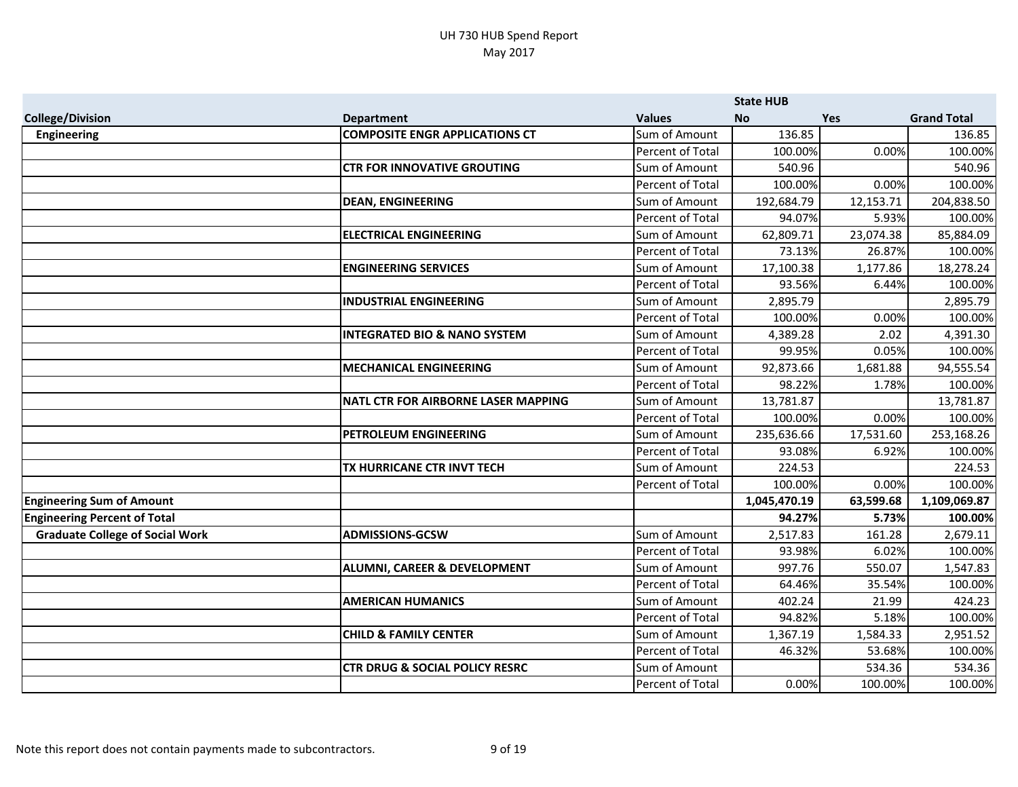|                                        |                                            |                         | <b>State HUB</b> |           |                    |
|----------------------------------------|--------------------------------------------|-------------------------|------------------|-----------|--------------------|
| <b>College/Division</b>                | <b>Department</b>                          | <b>Values</b>           | <b>No</b>        | Yes       | <b>Grand Total</b> |
| <b>Engineering</b>                     | <b>COMPOSITE ENGR APPLICATIONS CT</b>      | Sum of Amount           | 136.85           |           | 136.85             |
|                                        |                                            | Percent of Total        | 100.00%          | 0.00%     | 100.00%            |
|                                        | <b>CTR FOR INNOVATIVE GROUTING</b>         | Sum of Amount           | 540.96           |           | 540.96             |
|                                        |                                            | Percent of Total        | 100.00%          | 0.00%     | 100.00%            |
|                                        | <b>DEAN, ENGINEERING</b>                   | Sum of Amount           | 192,684.79       | 12,153.71 | 204,838.50         |
|                                        |                                            | Percent of Total        | 94.07%           | 5.93%     | 100.00%            |
|                                        | <b>ELECTRICAL ENGINEERING</b>              | Sum of Amount           | 62,809.71        | 23,074.38 | 85,884.09          |
|                                        |                                            | Percent of Total        | 73.13%           | 26.87%    | 100.00%            |
|                                        | <b>ENGINEERING SERVICES</b>                | Sum of Amount           | 17,100.38        | 1,177.86  | 18,278.24          |
|                                        |                                            | Percent of Total        | 93.56%           | 6.44%     | 100.00%            |
|                                        | <b>INDUSTRIAL ENGINEERING</b>              | Sum of Amount           | 2,895.79         |           | 2,895.79           |
|                                        |                                            | <b>Percent of Total</b> | 100.00%          | 0.00%     | 100.00%            |
|                                        | <b>INTEGRATED BIO &amp; NANO SYSTEM</b>    | Sum of Amount           | 4,389.28         | 2.02      | 4,391.30           |
|                                        |                                            | Percent of Total        | 99.95%           | 0.05%     | 100.00%            |
|                                        | <b>MECHANICAL ENGINEERING</b>              | Sum of Amount           | 92,873.66        | 1,681.88  | 94,555.54          |
|                                        |                                            | Percent of Total        | 98.22%           | 1.78%     | 100.00%            |
|                                        | <b>NATL CTR FOR AIRBORNE LASER MAPPING</b> | Sum of Amount           | 13,781.87        |           | 13,781.87          |
|                                        |                                            | Percent of Total        | 100.00%          | 0.00%     | 100.00%            |
|                                        | PETROLEUM ENGINEERING                      | Sum of Amount           | 235,636.66       | 17,531.60 | 253,168.26         |
|                                        |                                            | Percent of Total        | 93.08%           | 6.92%     | 100.00%            |
|                                        | TX HURRICANE CTR INVT TECH                 | Sum of Amount           | 224.53           |           | 224.53             |
|                                        |                                            | Percent of Total        | 100.00%          | 0.00%     | 100.00%            |
| <b>Engineering Sum of Amount</b>       |                                            |                         | 1,045,470.19     | 63,599.68 | 1,109,069.87       |
| <b>Engineering Percent of Total</b>    |                                            |                         | 94.27%           | 5.73%     | 100.00%            |
| <b>Graduate College of Social Work</b> | <b>ADMISSIONS-GCSW</b>                     | Sum of Amount           | 2,517.83         | 161.28    | 2,679.11           |
|                                        |                                            | Percent of Total        | 93.98%           | 6.02%     | 100.00%            |
|                                        | ALUMNI, CAREER & DEVELOPMENT               | Sum of Amount           | 997.76           | 550.07    | 1,547.83           |
|                                        |                                            | <b>Percent of Total</b> | 64.46%           | 35.54%    | 100.00%            |
|                                        | <b>AMERICAN HUMANICS</b>                   | Sum of Amount           | 402.24           | 21.99     | 424.23             |
|                                        |                                            | Percent of Total        | 94.82%           | 5.18%     | 100.00%            |
|                                        | <b>CHILD &amp; FAMILY CENTER</b>           | Sum of Amount           | 1,367.19         | 1,584.33  | 2,951.52           |
|                                        |                                            | Percent of Total        | 46.32%           | 53.68%    | 100.00%            |
|                                        | <b>CTR DRUG &amp; SOCIAL POLICY RESRC</b>  | Sum of Amount           |                  | 534.36    | 534.36             |
|                                        |                                            | Percent of Total        | 0.00%            | 100.00%   | 100.00%            |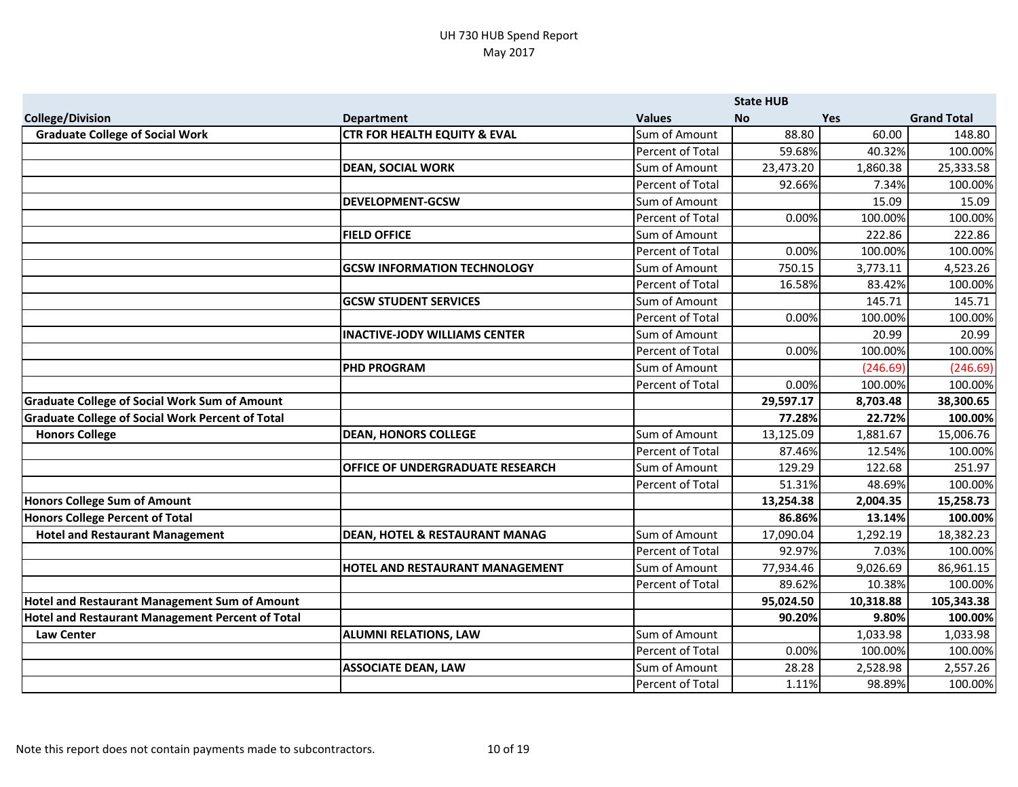|                                                         |                                           |                  | <b>State HUB</b> |           |                    |
|---------------------------------------------------------|-------------------------------------------|------------------|------------------|-----------|--------------------|
| <b>College/Division</b>                                 | <b>Department</b>                         | <b>Values</b>    | <b>No</b>        | Yes       | <b>Grand Total</b> |
| <b>Graduate College of Social Work</b>                  | <b>CTR FOR HEALTH EQUITY &amp; EVAL</b>   | Sum of Amount    | 88.80            | 60.00     | 148.80             |
|                                                         |                                           | Percent of Total | 59.68%           | 40.32%    | 100.00%            |
|                                                         | <b>DEAN, SOCIAL WORK</b>                  | Sum of Amount    | 23,473.20        | 1,860.38  | 25,333.58          |
|                                                         |                                           | Percent of Total | 92.66%           | 7.34%     | 100.00%            |
|                                                         | <b>DEVELOPMENT-GCSW</b>                   | Sum of Amount    |                  | 15.09     | 15.09              |
|                                                         |                                           | Percent of Total | 0.00%            | 100.00%   | 100.00%            |
|                                                         | <b>FIELD OFFICE</b>                       | Sum of Amount    |                  | 222.86    | 222.86             |
|                                                         |                                           | Percent of Total | 0.00%            | 100.00%   | 100.00%            |
|                                                         | <b>GCSW INFORMATION TECHNOLOGY</b>        | Sum of Amount    | 750.15           | 3,773.11  | 4,523.26           |
|                                                         |                                           | Percent of Total | 16.58%           | 83.42%    | 100.00%            |
|                                                         | <b>GCSW STUDENT SERVICES</b>              | Sum of Amount    |                  | 145.71    | 145.71             |
|                                                         |                                           | Percent of Total | 0.00%            | 100.00%   | 100.00%            |
|                                                         | <b>INACTIVE-JODY WILLIAMS CENTER</b>      | Sum of Amount    |                  | 20.99     | 20.99              |
|                                                         |                                           | Percent of Total | 0.00%            | 100.00%   | 100.00%            |
|                                                         | <b>PHD PROGRAM</b>                        | Sum of Amount    |                  | (246.69)  | (246.69)           |
|                                                         |                                           | Percent of Total | 0.00%            | 100.00%   | 100.00%            |
| <b>Graduate College of Social Work Sum of Amount</b>    |                                           |                  | 29,597.17        | 8,703.48  | 38,300.65          |
| <b>Graduate College of Social Work Percent of Total</b> |                                           |                  | 77.28%           | 22.72%    | 100.00%            |
| <b>Honors College</b>                                   | <b>DEAN, HONORS COLLEGE</b>               | Sum of Amount    | 13,125.09        | 1,881.67  | 15,006.76          |
|                                                         |                                           | Percent of Total | 87.46%           | 12.54%    | 100.00%            |
|                                                         | <b>OFFICE OF UNDERGRADUATE RESEARCH</b>   | Sum of Amount    | 129.29           | 122.68    | 251.97             |
|                                                         |                                           | Percent of Total | 51.31%           | 48.69%    | 100.00%            |
| Honors College Sum of Amount                            |                                           |                  | 13,254.38        | 2,004.35  | 15,258.73          |
| Honors College Percent of Total                         |                                           |                  | 86.86%           | 13.14%    | 100.00%            |
| <b>Hotel and Restaurant Management</b>                  | <b>DEAN, HOTEL &amp; RESTAURANT MANAG</b> | Sum of Amount    | 17,090.04        | 1,292.19  | 18,382.23          |
|                                                         |                                           | Percent of Total | 92.97%           | 7.03%     | 100.00%            |
|                                                         | <b>HOTEL AND RESTAURANT MANAGEMENT</b>    | Sum of Amount    | 77,934.46        | 9,026.69  | 86,961.15          |
|                                                         |                                           | Percent of Total | 89.62%           | 10.38%    | 100.00%            |
| <b>Hotel and Restaurant Management Sum of Amount</b>    |                                           |                  | 95,024.50        | 10,318.88 | 105,343.38         |
| Hotel and Restaurant Management Percent of Total        |                                           |                  | 90.20%           | 9.80%     | 100.00%            |
| <b>Law Center</b>                                       | <b>ALUMNI RELATIONS, LAW</b>              | Sum of Amount    |                  | 1,033.98  | 1,033.98           |
|                                                         |                                           | Percent of Total | 0.00%            | 100.00%   | 100.00%            |
|                                                         | <b>ASSOCIATE DEAN, LAW</b>                | Sum of Amount    | 28.28            | 2,528.98  | 2,557.26           |
|                                                         |                                           | Percent of Total | 1.11%            | 98.89%    | 100.00%            |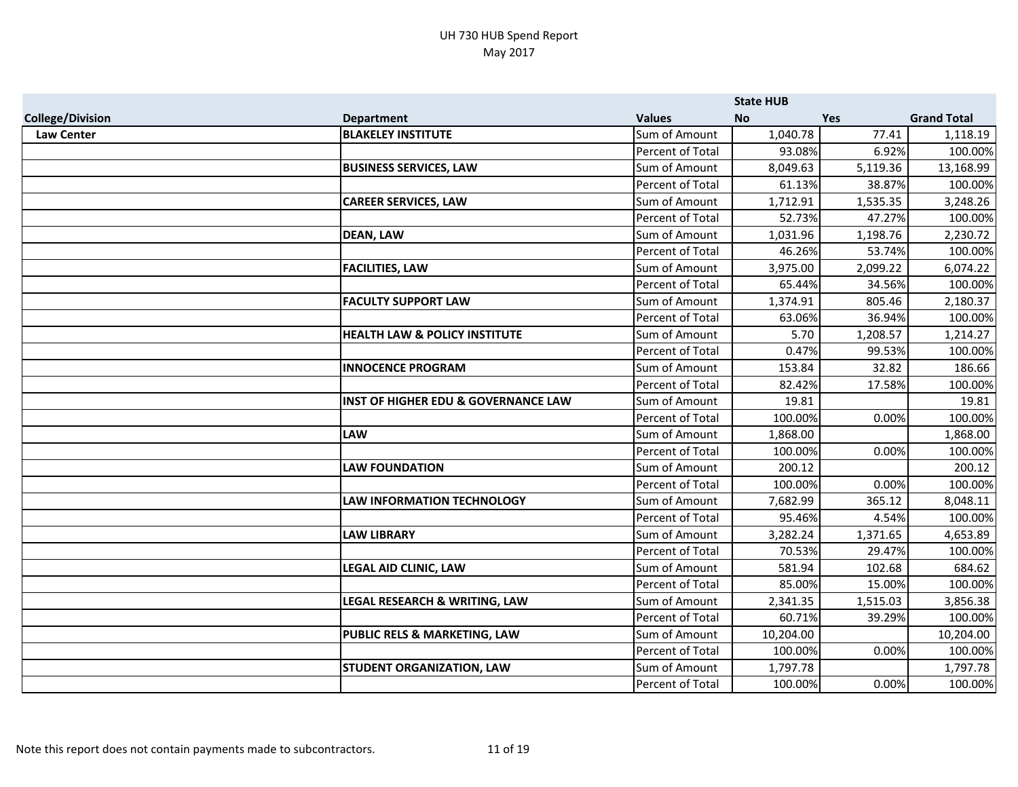|                         |                                                |                  | <b>State HUB</b> |            |                    |
|-------------------------|------------------------------------------------|------------------|------------------|------------|--------------------|
| <b>College/Division</b> | <b>Department</b>                              | <b>Values</b>    | <b>No</b>        | <b>Yes</b> | <b>Grand Total</b> |
| <b>Law Center</b>       | <b>BLAKELEY INSTITUTE</b>                      | Sum of Amount    | 1,040.78         | 77.41      | 1,118.19           |
|                         |                                                | Percent of Total | 93.08%           | 6.92%      | 100.00%            |
|                         | <b>BUSINESS SERVICES, LAW</b>                  | Sum of Amount    | 8,049.63         | 5,119.36   | 13,168.99          |
|                         |                                                | Percent of Total | 61.13%           | 38.87%     | 100.00%            |
|                         | <b>CAREER SERVICES, LAW</b>                    | Sum of Amount    | 1,712.91         | 1,535.35   | 3,248.26           |
|                         |                                                | Percent of Total | 52.73%           | 47.27%     | 100.00%            |
|                         | <b>DEAN, LAW</b>                               | Sum of Amount    | 1,031.96         | 1,198.76   | 2,230.72           |
|                         |                                                | Percent of Total | 46.26%           | 53.74%     | 100.00%            |
|                         | <b>FACILITIES, LAW</b>                         | Sum of Amount    | 3,975.00         | 2,099.22   | 6,074.22           |
|                         |                                                | Percent of Total | 65.44%           | 34.56%     | 100.00%            |
|                         | <b>FACULTY SUPPORT LAW</b>                     | Sum of Amount    | 1,374.91         | 805.46     | 2,180.37           |
|                         |                                                | Percent of Total | 63.06%           | 36.94%     | 100.00%            |
|                         | <b>HEALTH LAW &amp; POLICY INSTITUTE</b>       | Sum of Amount    | 5.70             | 1,208.57   | 1,214.27           |
|                         |                                                | Percent of Total | 0.47%            | 99.53%     | 100.00%            |
|                         | <b>INNOCENCE PROGRAM</b>                       | Sum of Amount    | 153.84           | 32.82      | 186.66             |
|                         |                                                | Percent of Total | 82.42%           | 17.58%     | 100.00%            |
|                         | <b>INST OF HIGHER EDU &amp; GOVERNANCE LAW</b> | Sum of Amount    | 19.81            |            | 19.81              |
|                         |                                                | Percent of Total | 100.00%          | 0.00%      | 100.00%            |
|                         | <b>LAW</b>                                     | Sum of Amount    | 1,868.00         |            | 1,868.00           |
|                         |                                                | Percent of Total | 100.00%          | 0.00%      | 100.00%            |
|                         | <b>LAW FOUNDATION</b>                          | Sum of Amount    | 200.12           |            | 200.12             |
|                         |                                                | Percent of Total | 100.00%          | 0.00%      | 100.00%            |
|                         | <b>LAW INFORMATION TECHNOLOGY</b>              | Sum of Amount    | 7,682.99         | 365.12     | 8,048.11           |
|                         |                                                | Percent of Total | 95.46%           | 4.54%      | 100.00%            |
|                         | <b>LAW LIBRARY</b>                             | Sum of Amount    | 3,282.24         | 1,371.65   | 4,653.89           |
|                         |                                                | Percent of Total | 70.53%           | 29.47%     | 100.00%            |
|                         | <b>LEGAL AID CLINIC, LAW</b>                   | Sum of Amount    | 581.94           | 102.68     | 684.62             |
|                         |                                                | Percent of Total | 85.00%           | 15.00%     | 100.00%            |
|                         | LEGAL RESEARCH & WRITING, LAW                  | Sum of Amount    | 2,341.35         | 1,515.03   | 3,856.38           |
|                         |                                                | Percent of Total | 60.71%           | 39.29%     | 100.00%            |
|                         | PUBLIC RELS & MARKETING, LAW                   | Sum of Amount    | 10,204.00        |            | 10,204.00          |
|                         |                                                | Percent of Total | 100.00%          | 0.00%      | 100.00%            |
|                         | <b>STUDENT ORGANIZATION, LAW</b>               | Sum of Amount    | 1,797.78         |            | 1,797.78           |
|                         |                                                | Percent of Total | 100.00%          | 0.00%      | 100.00%            |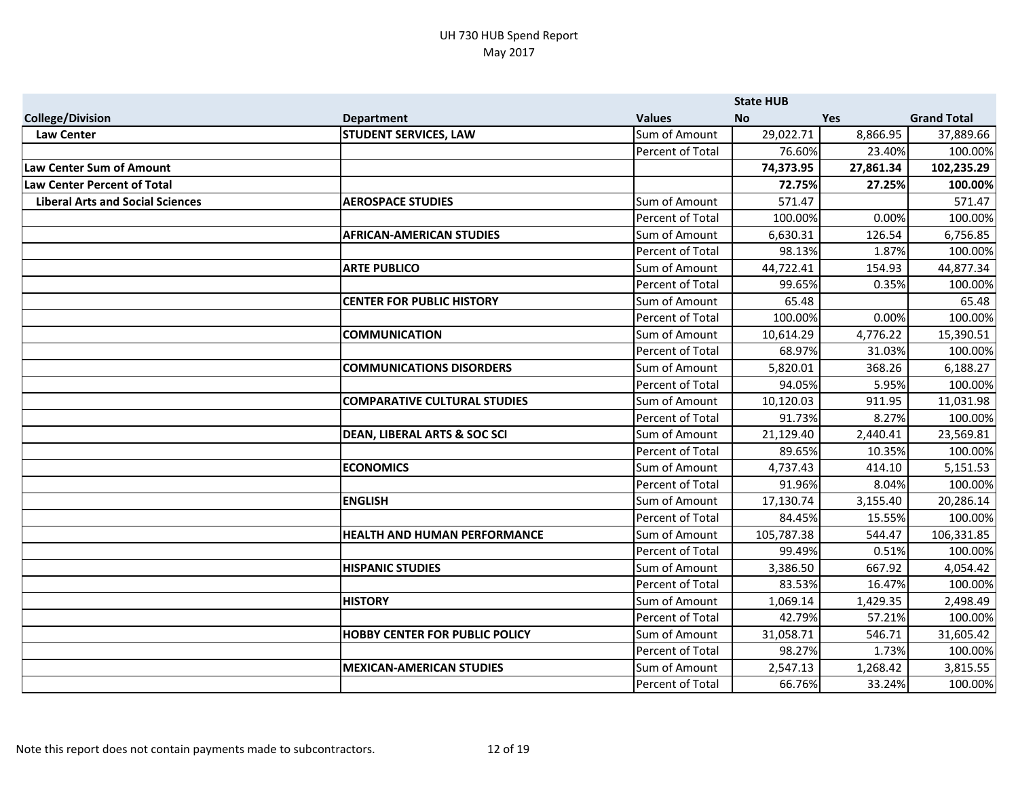|                                         |                                         |                         | <b>State HUB</b> |           |                    |
|-----------------------------------------|-----------------------------------------|-------------------------|------------------|-----------|--------------------|
| <b>College/Division</b>                 | <b>Department</b>                       | <b>Values</b>           | <b>No</b>        | Yes       | <b>Grand Total</b> |
| <b>Law Center</b>                       | <b>STUDENT SERVICES, LAW</b>            | Sum of Amount           | 29,022.71        | 8,866.95  | 37,889.66          |
|                                         |                                         | Percent of Total        | 76.60%           | 23.40%    | 100.00%            |
| Law Center Sum of Amount                |                                         |                         | 74,373.95        | 27,861.34 | 102,235.29         |
| <b>Law Center Percent of Total</b>      |                                         |                         | 72.75%           | 27.25%    | 100.00%            |
| <b>Liberal Arts and Social Sciences</b> | <b>AEROSPACE STUDIES</b>                | Sum of Amount           | 571.47           |           | 571.47             |
|                                         |                                         | Percent of Total        | 100.00%          | 0.00%     | 100.00%            |
|                                         | <b>AFRICAN-AMERICAN STUDIES</b>         | Sum of Amount           | 6,630.31         | 126.54    | 6,756.85           |
|                                         |                                         | <b>Percent of Total</b> | 98.13%           | 1.87%     | 100.00%            |
|                                         | <b>ARTE PUBLICO</b>                     | Sum of Amount           | 44,722.41        | 154.93    | 44,877.34          |
|                                         |                                         | <b>Percent of Total</b> | 99.65%           | 0.35%     | 100.00%            |
|                                         | <b>CENTER FOR PUBLIC HISTORY</b>        | Sum of Amount           | 65.48            |           | 65.48              |
|                                         |                                         | Percent of Total        | 100.00%          | 0.00%     | 100.00%            |
|                                         | <b>COMMUNICATION</b>                    | Sum of Amount           | 10,614.29        | 4,776.22  | 15,390.51          |
|                                         |                                         | Percent of Total        | 68.97%           | 31.03%    | 100.00%            |
|                                         | <b>COMMUNICATIONS DISORDERS</b>         | Sum of Amount           | 5,820.01         | 368.26    | 6,188.27           |
|                                         |                                         | <b>Percent of Total</b> | 94.05%           | 5.95%     | 100.00%            |
|                                         | <b>COMPARATIVE CULTURAL STUDIES</b>     | Sum of Amount           | 10,120.03        | 911.95    | 11,031.98          |
|                                         |                                         | Percent of Total        | 91.73%           | 8.27%     | 100.00%            |
|                                         | <b>DEAN, LIBERAL ARTS &amp; SOC SCI</b> | Sum of Amount           | 21,129.40        | 2,440.41  | 23,569.81          |
|                                         |                                         | Percent of Total        | 89.65%           | 10.35%    | 100.00%            |
|                                         | <b>ECONOMICS</b>                        | Sum of Amount           | 4,737.43         | 414.10    | 5,151.53           |
|                                         |                                         | <b>Percent of Total</b> | 91.96%           | 8.04%     | 100.00%            |
|                                         | <b>ENGLISH</b>                          | Sum of Amount           | 17,130.74        | 3,155.40  | 20,286.14          |
|                                         |                                         | <b>Percent of Total</b> | 84.45%           | 15.55%    | 100.00%            |
|                                         | <b>HEALTH AND HUMAN PERFORMANCE</b>     | Sum of Amount           | 105,787.38       | 544.47    | 106,331.85         |
|                                         |                                         | Percent of Total        | 99.49%           | 0.51%     | 100.00%            |
|                                         | <b>HISPANIC STUDIES</b>                 | Sum of Amount           | 3,386.50         | 667.92    | 4,054.42           |
|                                         |                                         | Percent of Total        | 83.53%           | 16.47%    | 100.00%            |
|                                         | <b>HISTORY</b>                          | Sum of Amount           | 1,069.14         | 1,429.35  | 2,498.49           |
|                                         |                                         | <b>Percent of Total</b> | 42.79%           | 57.21%    | 100.00%            |
|                                         | <b>HOBBY CENTER FOR PUBLIC POLICY</b>   | Sum of Amount           | 31,058.71        | 546.71    | 31,605.42          |
|                                         |                                         | Percent of Total        | 98.27%           | 1.73%     | 100.00%            |
|                                         | <b>MEXICAN-AMERICAN STUDIES</b>         | Sum of Amount           | 2,547.13         | 1,268.42  | 3,815.55           |
|                                         |                                         | Percent of Total        | 66.76%           | 33.24%    | 100.00%            |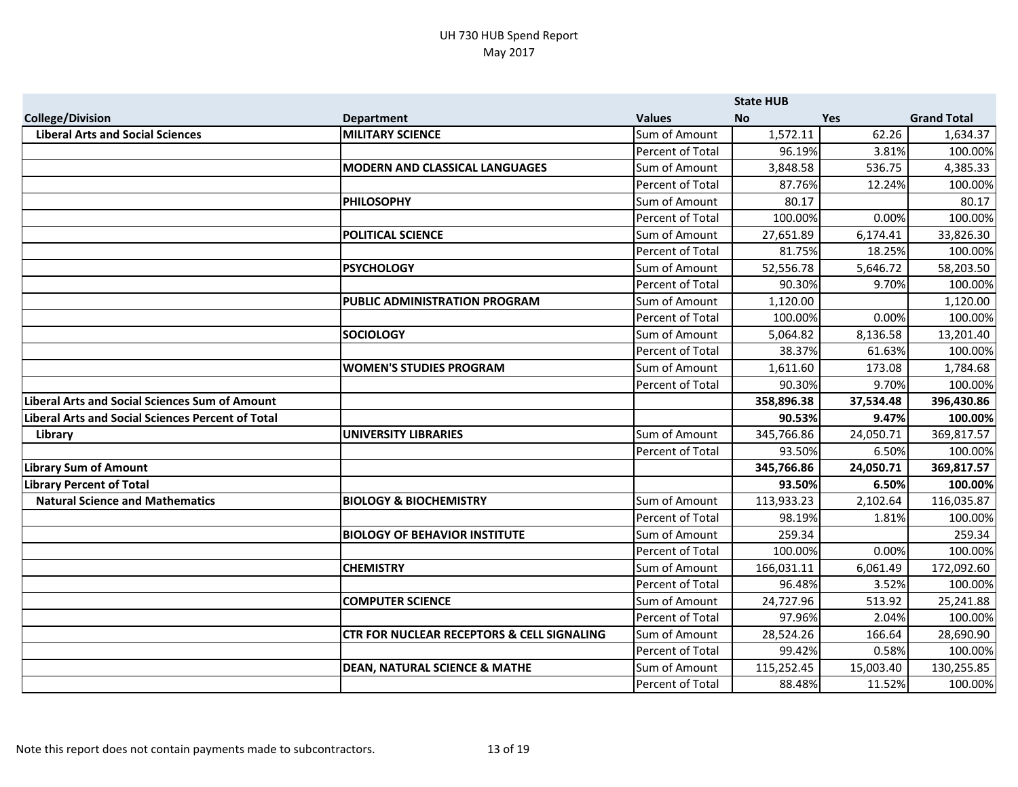|                                                          |                                                       |                         | <b>State HUB</b> |            |                    |
|----------------------------------------------------------|-------------------------------------------------------|-------------------------|------------------|------------|--------------------|
| <b>College/Division</b>                                  | <b>Department</b>                                     | <b>Values</b>           | <b>No</b>        | <b>Yes</b> | <b>Grand Total</b> |
| <b>Liberal Arts and Social Sciences</b>                  | <b>MILITARY SCIENCE</b>                               | Sum of Amount           | 1,572.11         | 62.26      | 1,634.37           |
|                                                          |                                                       | Percent of Total        | 96.19%           | 3.81%      | 100.00%            |
|                                                          | <b>MODERN AND CLASSICAL LANGUAGES</b>                 | Sum of Amount           | 3,848.58         | 536.75     | 4,385.33           |
|                                                          |                                                       | Percent of Total        | 87.76%           | 12.24%     | 100.00%            |
|                                                          | <b>PHILOSOPHY</b>                                     | Sum of Amount           | 80.17            |            | 80.17              |
|                                                          |                                                       | Percent of Total        | 100.00%          | 0.00%      | 100.00%            |
|                                                          | <b>POLITICAL SCIENCE</b>                              | Sum of Amount           | 27,651.89        | 6,174.41   | 33,826.30          |
|                                                          |                                                       | Percent of Total        | 81.75%           | 18.25%     | 100.00%            |
|                                                          | <b>PSYCHOLOGY</b>                                     | Sum of Amount           | 52,556.78        | 5,646.72   | 58,203.50          |
|                                                          |                                                       | Percent of Total        | 90.30%           | 9.70%      | 100.00%            |
|                                                          | PUBLIC ADMINISTRATION PROGRAM                         | Sum of Amount           | 1,120.00         |            | 1,120.00           |
|                                                          |                                                       | Percent of Total        | 100.00%          | 0.00%      | 100.00%            |
|                                                          | <b>SOCIOLOGY</b>                                      | Sum of Amount           | 5,064.82         | 8,136.58   | 13,201.40          |
|                                                          |                                                       | Percent of Total        | 38.37%           | 61.63%     | 100.00%            |
|                                                          | <b>WOMEN'S STUDIES PROGRAM</b>                        | Sum of Amount           | 1,611.60         | 173.08     | 1,784.68           |
|                                                          |                                                       | Percent of Total        | 90.30%           | 9.70%      | 100.00%            |
| <b>Liberal Arts and Social Sciences Sum of Amount</b>    |                                                       |                         | 358,896.38       | 37,534.48  | 396,430.86         |
| <b>Liberal Arts and Social Sciences Percent of Total</b> |                                                       |                         | 90.53%           | 9.47%      | 100.00%            |
| Library                                                  | <b>UNIVERSITY LIBRARIES</b>                           | Sum of Amount           | 345,766.86       | 24,050.71  | 369,817.57         |
|                                                          |                                                       | Percent of Total        | 93.50%           | 6.50%      | 100.00%            |
| <b>Library Sum of Amount</b>                             |                                                       |                         | 345,766.86       | 24,050.71  | 369,817.57         |
| <b>Library Percent of Total</b>                          |                                                       |                         | 93.50%           | 6.50%      | 100.00%            |
| <b>Natural Science and Mathematics</b>                   | <b>BIOLOGY &amp; BIOCHEMISTRY</b>                     | Sum of Amount           | 113,933.23       | 2,102.64   | 116,035.87         |
|                                                          |                                                       | Percent of Total        | 98.19%           | 1.81%      | 100.00%            |
|                                                          | <b>BIOLOGY OF BEHAVIOR INSTITUTE</b>                  | Sum of Amount           | 259.34           |            | 259.34             |
|                                                          |                                                       | <b>Percent of Total</b> | 100.00%          | 0.00%      | 100.00%            |
|                                                          | <b>CHEMISTRY</b>                                      | Sum of Amount           | 166,031.11       | 6,061.49   | 172,092.60         |
|                                                          |                                                       | Percent of Total        | 96.48%           | 3.52%      | 100.00%            |
|                                                          | <b>COMPUTER SCIENCE</b>                               | Sum of Amount           | 24,727.96        | 513.92     | 25,241.88          |
|                                                          |                                                       | Percent of Total        | 97.96%           | 2.04%      | 100.00%            |
|                                                          | <b>CTR FOR NUCLEAR RECEPTORS &amp; CELL SIGNALING</b> | Sum of Amount           | 28,524.26        | 166.64     | 28,690.90          |
|                                                          |                                                       | Percent of Total        | 99.42%           | 0.58%      | 100.00%            |
|                                                          | <b>DEAN, NATURAL SCIENCE &amp; MATHE</b>              | Sum of Amount           | 115,252.45       | 15,003.40  | 130,255.85         |
|                                                          |                                                       | Percent of Total        | 88.48%           | 11.52%     | 100.00%            |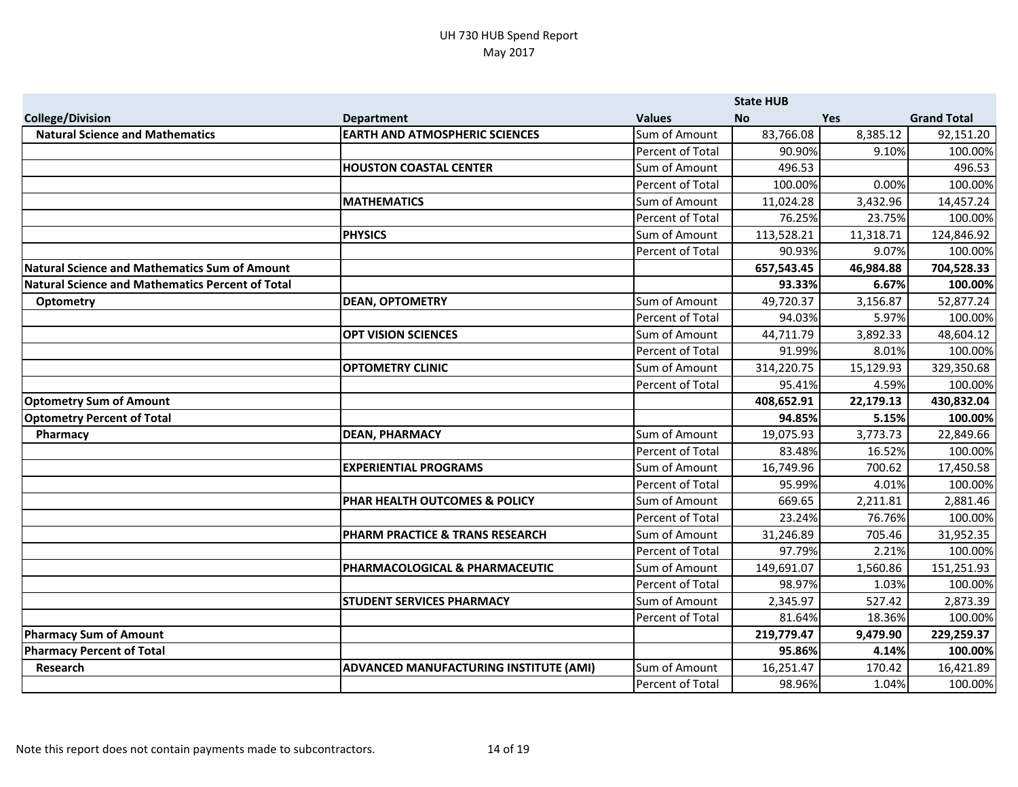|                                                      |                                               |                  | <b>State HUB</b> |            |                    |
|------------------------------------------------------|-----------------------------------------------|------------------|------------------|------------|--------------------|
| <b>College/Division</b>                              | <b>Department</b>                             | <b>Values</b>    | <b>No</b>        | <b>Yes</b> | <b>Grand Total</b> |
| <b>Natural Science and Mathematics</b>               | <b>EARTH AND ATMOSPHERIC SCIENCES</b>         | Sum of Amount    | 83,766.08        | 8,385.12   | 92,151.20          |
|                                                      |                                               | Percent of Total | 90.90%           | 9.10%      | 100.00%            |
|                                                      | <b>HOUSTON COASTAL CENTER</b>                 | Sum of Amount    | 496.53           |            | 496.53             |
|                                                      |                                               | Percent of Total | 100.00%          | 0.00%      | 100.00%            |
|                                                      | <b>MATHEMATICS</b>                            | Sum of Amount    | 11,024.28        | 3,432.96   | 14,457.24          |
|                                                      |                                               | Percent of Total | 76.25%           | 23.75%     | 100.00%            |
|                                                      | <b>PHYSICS</b>                                | Sum of Amount    | 113,528.21       | 11,318.71  | 124,846.92         |
|                                                      |                                               | Percent of Total | 90.93%           | 9.07%      | 100.00%            |
| <b>Natural Science and Mathematics Sum of Amount</b> |                                               |                  | 657,543.45       | 46,984.88  | 704,528.33         |
| Natural Science and Mathematics Percent of Total     |                                               |                  | 93.33%           | 6.67%      | 100.00%            |
| <b>Optometry</b>                                     | <b>DEAN, OPTOMETRY</b>                        | Sum of Amount    | 49,720.37        | 3,156.87   | 52,877.24          |
|                                                      |                                               | Percent of Total | 94.03%           | 5.97%      | 100.00%            |
|                                                      | <b>OPT VISION SCIENCES</b>                    | Sum of Amount    | 44,711.79        | 3,892.33   | 48,604.12          |
|                                                      |                                               | Percent of Total | 91.99%           | 8.01%      | 100.00%            |
|                                                      | <b>OPTOMETRY CLINIC</b>                       | Sum of Amount    | 314,220.75       | 15,129.93  | 329,350.68         |
|                                                      |                                               | Percent of Total | 95.41%           | 4.59%      | 100.00%            |
| <b>Optometry Sum of Amount</b>                       |                                               |                  | 408,652.91       | 22,179.13  | 430,832.04         |
| <b>Optometry Percent of Total</b>                    |                                               |                  | 94.85%           | 5.15%      | 100.00%            |
| Pharmacy                                             | <b>DEAN, PHARMACY</b>                         | Sum of Amount    | 19,075.93        | 3,773.73   | 22,849.66          |
|                                                      |                                               | Percent of Total | 83.48%           | 16.52%     | 100.00%            |
|                                                      | <b>EXPERIENTIAL PROGRAMS</b>                  | Sum of Amount    | 16,749.96        | 700.62     | 17,450.58          |
|                                                      |                                               | Percent of Total | 95.99%           | 4.01%      | 100.00%            |
|                                                      | <b>PHAR HEALTH OUTCOMES &amp; POLICY</b>      | Sum of Amount    | 669.65           | 2,211.81   | 2,881.46           |
|                                                      |                                               | Percent of Total | 23.24%           | 76.76%     | 100.00%            |
|                                                      | <b>PHARM PRACTICE &amp; TRANS RESEARCH</b>    | Sum of Amount    | 31,246.89        | 705.46     | 31,952.35          |
|                                                      |                                               | Percent of Total | 97.79%           | 2.21%      | 100.00%            |
|                                                      | PHARMACOLOGICAL & PHARMACEUTIC                | Sum of Amount    | 149,691.07       | 1,560.86   | 151,251.93         |
|                                                      |                                               | Percent of Total | 98.97%           | 1.03%      | 100.00%            |
|                                                      | <b>STUDENT SERVICES PHARMACY</b>              | Sum of Amount    | 2,345.97         | 527.42     | 2,873.39           |
|                                                      |                                               | Percent of Total | 81.64%           | 18.36%     | 100.00%            |
| <b>Pharmacy Sum of Amount</b>                        |                                               |                  | 219,779.47       | 9,479.90   | 229,259.37         |
| <b>Pharmacy Percent of Total</b>                     |                                               |                  | 95.86%           | 4.14%      | 100.00%            |
| Research                                             | <b>ADVANCED MANUFACTURING INSTITUTE (AMI)</b> | Sum of Amount    | 16,251.47        | 170.42     | 16,421.89          |
|                                                      |                                               | Percent of Total | 98.96%           | 1.04%      | 100.00%            |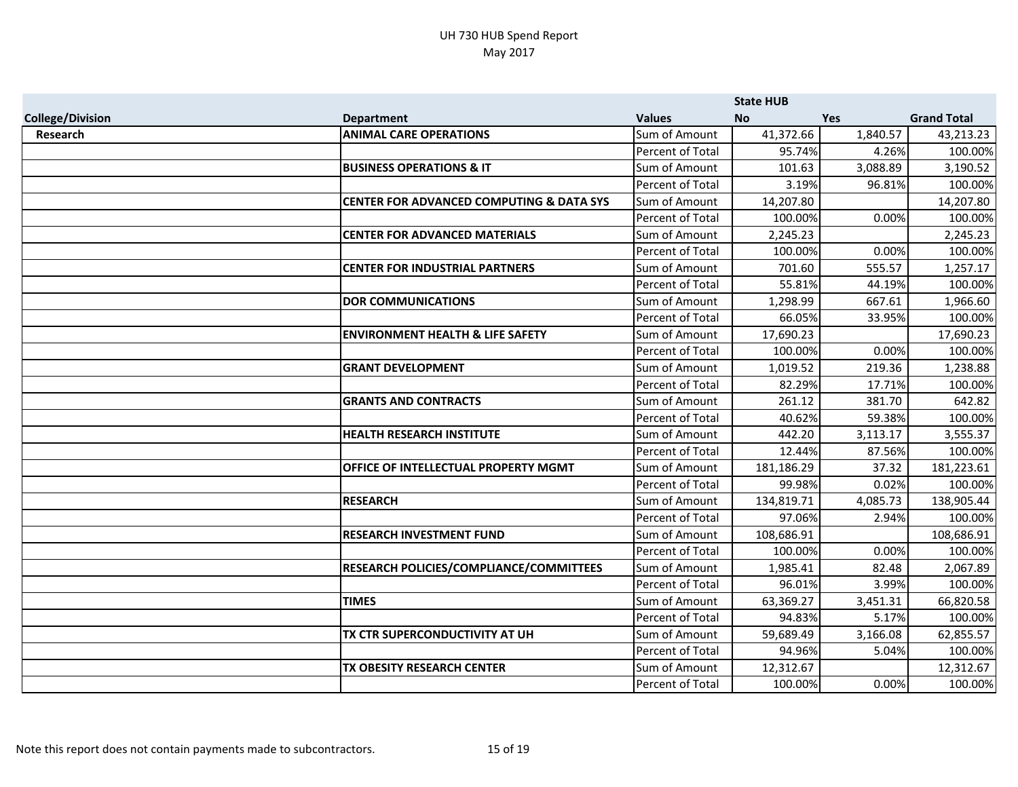|                         |                                                     |                         | <b>State HUB</b> |          |                    |
|-------------------------|-----------------------------------------------------|-------------------------|------------------|----------|--------------------|
| <b>College/Division</b> | <b>Department</b>                                   | <b>Values</b>           | <b>No</b>        | Yes      | <b>Grand Total</b> |
| <b>Research</b>         | <b>ANIMAL CARE OPERATIONS</b>                       | Sum of Amount           | 41,372.66        | 1,840.57 | 43,213.23          |
|                         |                                                     | Percent of Total        | 95.74%           | 4.26%    | 100.00%            |
|                         | <b>BUSINESS OPERATIONS &amp; IT</b>                 | Sum of Amount           | 101.63           | 3,088.89 | 3,190.52           |
|                         |                                                     | Percent of Total        | 3.19%            | 96.81%   | 100.00%            |
|                         | <b>CENTER FOR ADVANCED COMPUTING &amp; DATA SYS</b> | Sum of Amount           | 14,207.80        |          | 14,207.80          |
|                         |                                                     | Percent of Total        | 100.00%          | 0.00%    | 100.00%            |
|                         | <b>CENTER FOR ADVANCED MATERIALS</b>                | Sum of Amount           | 2,245.23         |          | 2,245.23           |
|                         |                                                     | <b>Percent of Total</b> | 100.00%          | 0.00%    | 100.00%            |
|                         | <b>CENTER FOR INDUSTRIAL PARTNERS</b>               | Sum of Amount           | 701.60           | 555.57   | 1,257.17           |
|                         |                                                     | <b>Percent of Total</b> | 55.81%           | 44.19%   | 100.00%            |
|                         | <b>DOR COMMUNICATIONS</b>                           | Sum of Amount           | 1,298.99         | 667.61   | 1,966.60           |
|                         |                                                     | Percent of Total        | 66.05%           | 33.95%   | 100.00%            |
|                         | <b>ENVIRONMENT HEALTH &amp; LIFE SAFETY</b>         | Sum of Amount           | 17,690.23        |          | 17,690.23          |
|                         |                                                     | Percent of Total        | 100.00%          | 0.00%    | 100.00%            |
|                         | <b>GRANT DEVELOPMENT</b>                            | Sum of Amount           | 1,019.52         | 219.36   | 1,238.88           |
|                         |                                                     | <b>Percent of Total</b> | 82.29%           | 17.71%   | 100.00%            |
|                         | <b>GRANTS AND CONTRACTS</b>                         | Sum of Amount           | 261.12           | 381.70   | 642.82             |
|                         |                                                     | Percent of Total        | 40.62%           | 59.38%   | 100.00%            |
|                         | <b>HEALTH RESEARCH INSTITUTE</b>                    | Sum of Amount           | 442.20           | 3,113.17 | 3,555.37           |
|                         |                                                     | Percent of Total        | 12.44%           | 87.56%   | 100.00%            |
|                         | OFFICE OF INTELLECTUAL PROPERTY MGMT                | Sum of Amount           | 181,186.29       | 37.32    | 181,223.61         |
|                         |                                                     | Percent of Total        | 99.98%           | 0.02%    | 100.00%            |
|                         | <b>RESEARCH</b>                                     | Sum of Amount           | 134,819.71       | 4,085.73 | 138,905.44         |
|                         |                                                     | Percent of Total        | 97.06%           | 2.94%    | 100.00%            |
|                         | <b>RESEARCH INVESTMENT FUND</b>                     | Sum of Amount           | 108,686.91       |          | 108,686.91         |
|                         |                                                     | Percent of Total        | 100.00%          | 0.00%    | 100.00%            |
|                         | RESEARCH POLICIES/COMPLIANCE/COMMITTEES             | Sum of Amount           | 1,985.41         | 82.48    | 2,067.89           |
|                         |                                                     | Percent of Total        | 96.01%           | 3.99%    | 100.00%            |
|                         | <b>TIMES</b>                                        | Sum of Amount           | 63,369.27        | 3,451.31 | 66,820.58          |
|                         |                                                     | Percent of Total        | 94.83%           | 5.17%    | 100.00%            |
|                         | TX CTR SUPERCONDUCTIVITY AT UH                      | Sum of Amount           | 59,689.49        | 3,166.08 | 62,855.57          |
|                         |                                                     | Percent of Total        | 94.96%           | 5.04%    | 100.00%            |
|                         | TX OBESITY RESEARCH CENTER                          | Sum of Amount           | 12,312.67        |          | 12,312.67          |
|                         |                                                     | Percent of Total        | 100.00%          | 0.00%    | 100.00%            |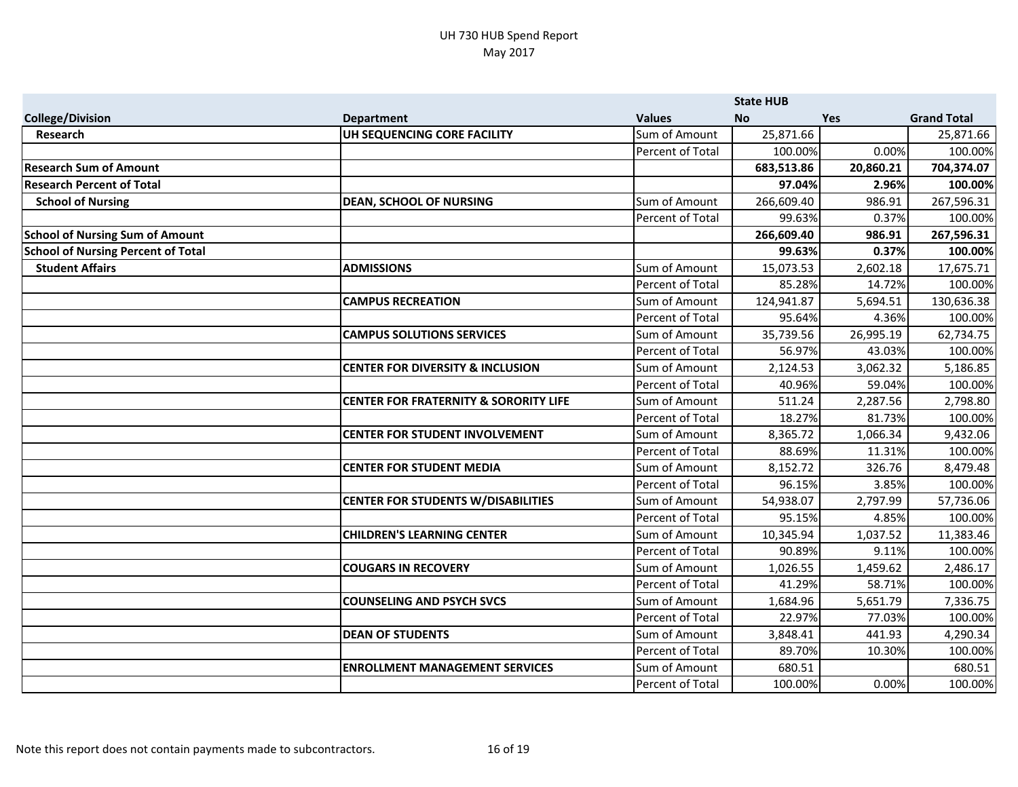|                                           |                                                  |                         | <b>State HUB</b> |           |                    |
|-------------------------------------------|--------------------------------------------------|-------------------------|------------------|-----------|--------------------|
| <b>College/Division</b>                   | <b>Department</b>                                | <b>Values</b>           | <b>No</b>        | Yes       | <b>Grand Total</b> |
| Research                                  | UH SEQUENCING CORE FACILITY                      | Sum of Amount           | 25,871.66        |           | 25,871.66          |
|                                           |                                                  | Percent of Total        | 100.00%          | 0.00%     | 100.00%            |
| <b>Research Sum of Amount</b>             |                                                  |                         | 683,513.86       | 20,860.21 | 704,374.07         |
| <b>Research Percent of Total</b>          |                                                  |                         | 97.04%           | 2.96%     | 100.00%            |
| <b>School of Nursing</b>                  | <b>DEAN, SCHOOL OF NURSING</b>                   | Sum of Amount           | 266,609.40       | 986.91    | 267,596.31         |
|                                           |                                                  | Percent of Total        | 99.63%           | 0.37%     | 100.00%            |
| <b>School of Nursing Sum of Amount</b>    |                                                  |                         | 266,609.40       | 986.91    | 267,596.31         |
| <b>School of Nursing Percent of Total</b> |                                                  |                         | 99.63%           | 0.37%     | 100.00%            |
| <b>Student Affairs</b>                    | <b>ADMISSIONS</b>                                | Sum of Amount           | 15,073.53        | 2,602.18  | 17,675.71          |
|                                           |                                                  | <b>Percent of Total</b> | 85.28%           | 14.72%    | 100.00%            |
|                                           | <b>CAMPUS RECREATION</b>                         | Sum of Amount           | 124,941.87       | 5,694.51  | 130,636.38         |
|                                           |                                                  | <b>Percent of Total</b> | 95.64%           | 4.36%     | 100.00%            |
|                                           | <b>CAMPUS SOLUTIONS SERVICES</b>                 | Sum of Amount           | 35,739.56        | 26,995.19 | 62,734.75          |
|                                           |                                                  | Percent of Total        | 56.97%           | 43.03%    | 100.00%            |
|                                           | <b>CENTER FOR DIVERSITY &amp; INCLUSION</b>      | Sum of Amount           | 2,124.53         | 3,062.32  | 5,186.85           |
|                                           |                                                  | Percent of Total        | 40.96%           | 59.04%    | 100.00%            |
|                                           | <b>CENTER FOR FRATERNITY &amp; SORORITY LIFE</b> | Sum of Amount           | 511.24           | 2,287.56  | 2,798.80           |
|                                           |                                                  | Percent of Total        | 18.27%           | 81.73%    | 100.00%            |
|                                           | <b>CENTER FOR STUDENT INVOLVEMENT</b>            | Sum of Amount           | 8,365.72         | 1,066.34  | 9,432.06           |
|                                           |                                                  | Percent of Total        | 88.69%           | 11.31%    | 100.00%            |
|                                           | <b>CENTER FOR STUDENT MEDIA</b>                  | Sum of Amount           | 8,152.72         | 326.76    | 8,479.48           |
|                                           |                                                  | <b>Percent of Total</b> | 96.15%           | 3.85%     | 100.00%            |
|                                           | <b>CENTER FOR STUDENTS W/DISABILITIES</b>        | Sum of Amount           | 54,938.07        | 2,797.99  | 57,736.06          |
|                                           |                                                  | Percent of Total        | 95.15%           | 4.85%     | 100.00%            |
|                                           | <b>CHILDREN'S LEARNING CENTER</b>                | Sum of Amount           | 10,345.94        | 1,037.52  | 11,383.46          |
|                                           |                                                  | Percent of Total        | 90.89%           | 9.11%     | 100.00%            |
|                                           | <b>COUGARS IN RECOVERY</b>                       | Sum of Amount           | 1,026.55         | 1,459.62  | 2,486.17           |
|                                           |                                                  | <b>Percent of Total</b> | 41.29%           | 58.71%    | 100.00%            |
|                                           | <b>COUNSELING AND PSYCH SVCS</b>                 | Sum of Amount           | 1,684.96         | 5,651.79  | 7,336.75           |
|                                           |                                                  | Percent of Total        | 22.97%           | 77.03%    | 100.00%            |
|                                           | <b>DEAN OF STUDENTS</b>                          | Sum of Amount           | 3,848.41         | 441.93    | 4,290.34           |
|                                           |                                                  | Percent of Total        | 89.70%           | 10.30%    | 100.00%            |
|                                           | <b>ENROLLMENT MANAGEMENT SERVICES</b>            | Sum of Amount           | 680.51           |           | 680.51             |
|                                           |                                                  | Percent of Total        | 100.00%          | 0.00%     | 100.00%            |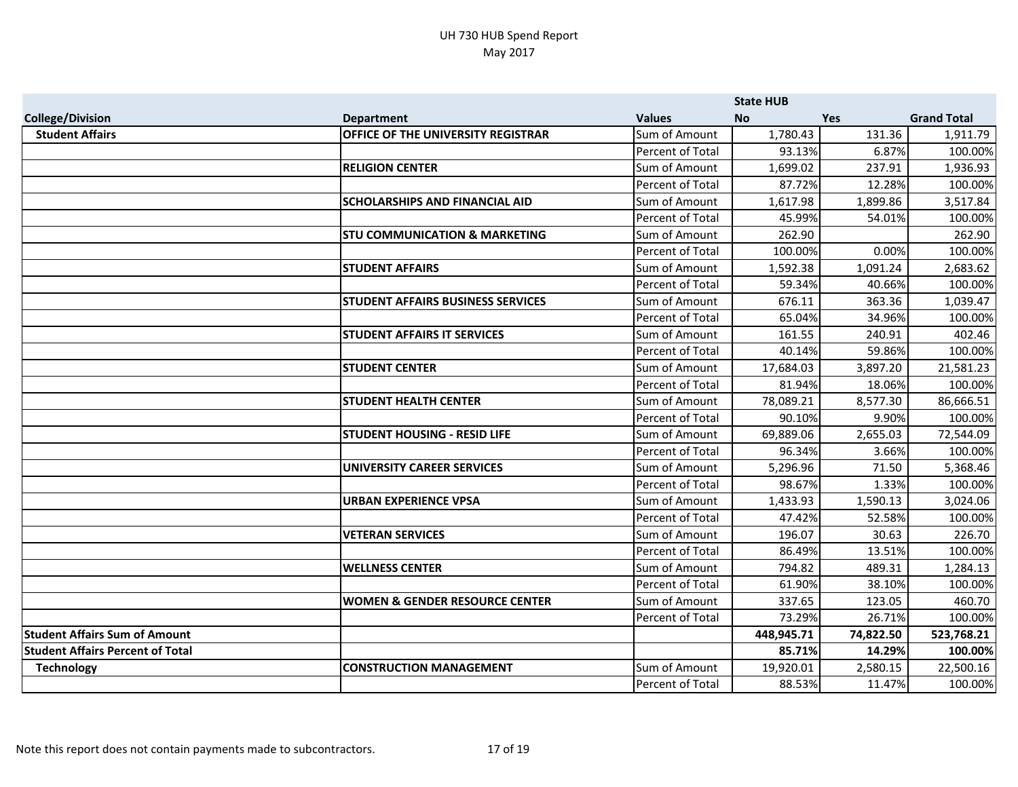|                                         |                                           |                         | <b>State HUB</b> |           |                    |
|-----------------------------------------|-------------------------------------------|-------------------------|------------------|-----------|--------------------|
| <b>College/Division</b>                 | <b>Department</b>                         | <b>Values</b>           | <b>No</b>        | Yes       | <b>Grand Total</b> |
| <b>Student Affairs</b>                  | <b>OFFICE OF THE UNIVERSITY REGISTRAR</b> | Sum of Amount           | 1,780.43         | 131.36    | 1,911.79           |
|                                         |                                           | Percent of Total        | 93.13%           | 6.87%     | 100.00%            |
|                                         | <b>RELIGION CENTER</b>                    | Sum of Amount           | 1,699.02         | 237.91    | 1,936.93           |
|                                         |                                           | Percent of Total        | 87.72%           | 12.28%    | 100.00%            |
|                                         | <b>SCHOLARSHIPS AND FINANCIAL AID</b>     | Sum of Amount           | 1,617.98         | 1,899.86  | 3,517.84           |
|                                         |                                           | Percent of Total        | 45.99%           | 54.01%    | 100.00%            |
|                                         | <b>STU COMMUNICATION &amp; MARKETING</b>  | Sum of Amount           | 262.90           |           | 262.90             |
|                                         |                                           | Percent of Total        | 100.00%          | 0.00%     | 100.00%            |
|                                         | <b>STUDENT AFFAIRS</b>                    | Sum of Amount           | 1,592.38         | 1,091.24  | 2,683.62           |
|                                         |                                           | <b>Percent of Total</b> | 59.34%           | 40.66%    | 100.00%            |
|                                         | <b>STUDENT AFFAIRS BUSINESS SERVICES</b>  | Sum of Amount           | 676.11           | 363.36    | 1,039.47           |
|                                         |                                           | Percent of Total        | 65.04%           | 34.96%    | 100.00%            |
|                                         | <b>STUDENT AFFAIRS IT SERVICES</b>        | Sum of Amount           | 161.55           | 240.91    | 402.46             |
|                                         |                                           | Percent of Total        | 40.14%           | 59.86%    | 100.00%            |
|                                         | <b>STUDENT CENTER</b>                     | Sum of Amount           | 17,684.03        | 3,897.20  | 21,581.23          |
|                                         |                                           | Percent of Total        | 81.94%           | 18.06%    | 100.00%            |
|                                         | <b>STUDENT HEALTH CENTER</b>              | Sum of Amount           | 78,089.21        | 8,577.30  | 86,666.51          |
|                                         |                                           | Percent of Total        | 90.10%           | 9.90%     | 100.00%            |
|                                         | <b>STUDENT HOUSING - RESID LIFE</b>       | Sum of Amount           | 69,889.06        | 2,655.03  | 72,544.09          |
|                                         |                                           | Percent of Total        | 96.34%           | 3.66%     | 100.00%            |
|                                         | UNIVERSITY CAREER SERVICES                | Sum of Amount           | 5,296.96         | 71.50     | 5,368.46           |
|                                         |                                           | Percent of Total        | 98.67%           | 1.33%     | 100.00%            |
|                                         | <b>URBAN EXPERIENCE VPSA</b>              | Sum of Amount           | 1,433.93         | 1,590.13  | 3,024.06           |
|                                         |                                           | Percent of Total        | 47.42%           | 52.58%    | 100.00%            |
|                                         | <b>VETERAN SERVICES</b>                   | Sum of Amount           | 196.07           | 30.63     | 226.70             |
|                                         |                                           | Percent of Total        | 86.49%           | 13.51%    | 100.00%            |
|                                         | <b>WELLNESS CENTER</b>                    | Sum of Amount           | 794.82           | 489.31    | 1,284.13           |
|                                         |                                           | Percent of Total        | 61.90%           | 38.10%    | 100.00%            |
|                                         | <b>WOMEN &amp; GENDER RESOURCE CENTER</b> | Sum of Amount           | 337.65           | 123.05    | 460.70             |
|                                         |                                           | Percent of Total        | 73.29%           | 26.71%    | 100.00%            |
| <b>Student Affairs Sum of Amount</b>    |                                           |                         | 448,945.71       | 74,822.50 | 523,768.21         |
| <b>Student Affairs Percent of Total</b> |                                           |                         | 85.71%           | 14.29%    | 100.00%            |
| <b>Technology</b>                       | <b>CONSTRUCTION MANAGEMENT</b>            | Sum of Amount           | 19,920.01        | 2,580.15  | 22,500.16          |
|                                         |                                           | Percent of Total        | 88.53%           | 11.47%    | 100.00%            |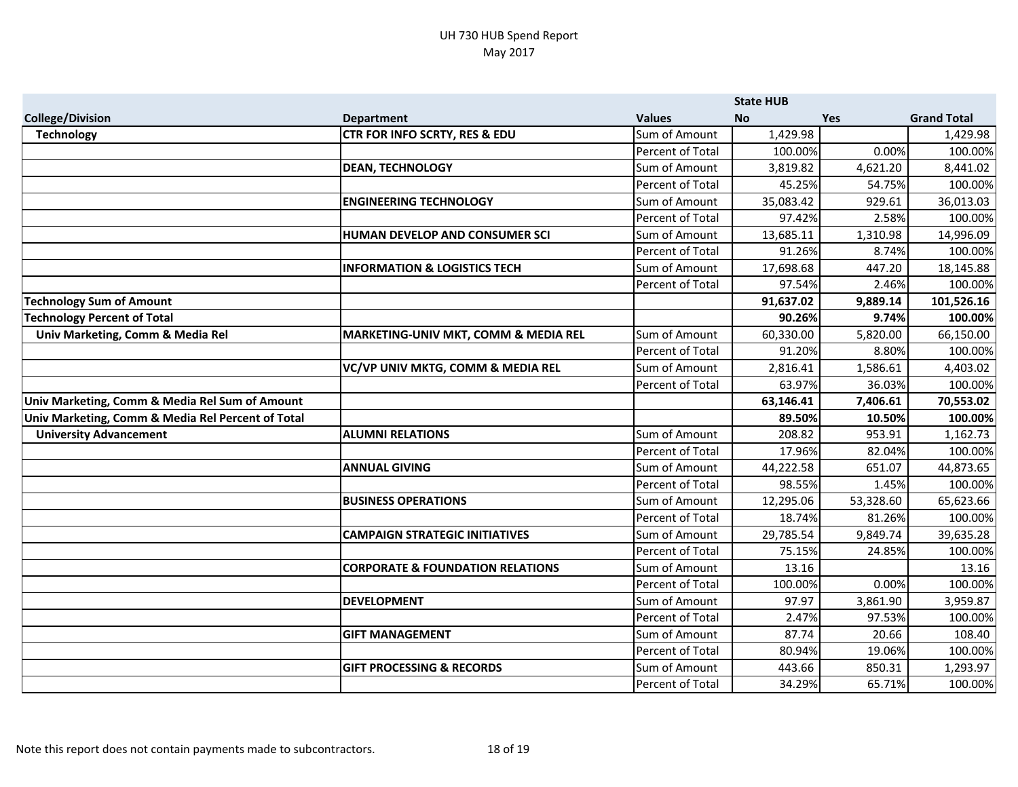|                                                   |                                             |                         | <b>State HUB</b> |           |                    |
|---------------------------------------------------|---------------------------------------------|-------------------------|------------------|-----------|--------------------|
| <b>College/Division</b>                           | <b>Department</b>                           | <b>Values</b>           | <b>No</b>        | Yes       | <b>Grand Total</b> |
| <b>Technology</b>                                 | CTR FOR INFO SCRTY, RES & EDU               | Sum of Amount           | 1,429.98         |           | 1,429.98           |
|                                                   |                                             | Percent of Total        | 100.00%          | 0.00%     | 100.00%            |
|                                                   | <b>DEAN, TECHNOLOGY</b>                     | Sum of Amount           | 3,819.82         | 4,621.20  | 8,441.02           |
|                                                   |                                             | Percent of Total        | 45.25%           | 54.75%    | 100.00%            |
|                                                   | <b>ENGINEERING TECHNOLOGY</b>               | Sum of Amount           | 35,083.42        | 929.61    | 36,013.03          |
|                                                   |                                             | Percent of Total        | 97.42%           | 2.58%     | 100.00%            |
|                                                   | HUMAN DEVELOP AND CONSUMER SCI              | Sum of Amount           | 13,685.11        | 1,310.98  | 14,996.09          |
|                                                   |                                             | Percent of Total        | 91.26%           | 8.74%     | 100.00%            |
|                                                   | <b>INFORMATION &amp; LOGISTICS TECH</b>     | Sum of Amount           | 17,698.68        | 447.20    | 18,145.88          |
|                                                   |                                             | Percent of Total        | 97.54%           | 2.46%     | 100.00%            |
| <b>Technology Sum of Amount</b>                   |                                             |                         | 91,637.02        | 9,889.14  | 101,526.16         |
| <b>Technology Percent of Total</b>                |                                             |                         | 90.26%           | 9.74%     | 100.00%            |
| Univ Marketing, Comm & Media Rel                  | MARKETING-UNIV MKT, COMM & MEDIA REL        | Sum of Amount           | 60,330.00        | 5,820.00  | 66,150.00          |
|                                                   |                                             | Percent of Total        | 91.20%           | 8.80%     | 100.00%            |
|                                                   | VC/VP UNIV MKTG, COMM & MEDIA REL           | Sum of Amount           | 2,816.41         | 1,586.61  | 4,403.02           |
|                                                   |                                             | Percent of Total        | 63.97%           | 36.03%    | 100.00%            |
| Univ Marketing, Comm & Media Rel Sum of Amount    |                                             |                         | 63,146.41        | 7,406.61  | 70,553.02          |
| Univ Marketing, Comm & Media Rel Percent of Total |                                             |                         | 89.50%           | 10.50%    | 100.00%            |
| <b>University Advancement</b>                     | <b>ALUMNI RELATIONS</b>                     | Sum of Amount           | 208.82           | 953.91    | 1,162.73           |
|                                                   |                                             | Percent of Total        | 17.96%           | 82.04%    | 100.00%            |
|                                                   | <b>ANNUAL GIVING</b>                        | Sum of Amount           | 44,222.58        | 651.07    | 44,873.65          |
|                                                   |                                             | Percent of Total        | 98.55%           | 1.45%     | 100.00%            |
|                                                   | <b>BUSINESS OPERATIONS</b>                  | Sum of Amount           | 12,295.06        | 53,328.60 | 65,623.66          |
|                                                   |                                             | <b>Percent of Total</b> | 18.74%           | 81.26%    | 100.00%            |
|                                                   | <b>CAMPAIGN STRATEGIC INITIATIVES</b>       | Sum of Amount           | 29,785.54        | 9,849.74  | 39,635.28          |
|                                                   |                                             | Percent of Total        | 75.15%           | 24.85%    | 100.00%            |
|                                                   | <b>CORPORATE &amp; FOUNDATION RELATIONS</b> | Sum of Amount           | 13.16            |           | 13.16              |
|                                                   |                                             | Percent of Total        | 100.00%          | 0.00%     | 100.00%            |
|                                                   | <b>DEVELOPMENT</b>                          | Sum of Amount           | 97.97            | 3,861.90  | 3,959.87           |
|                                                   |                                             | Percent of Total        | 2.47%            | 97.53%    | 100.00%            |
|                                                   | <b>GIFT MANAGEMENT</b>                      | Sum of Amount           | 87.74            | 20.66     | 108.40             |
|                                                   |                                             | Percent of Total        | 80.94%           | 19.06%    | 100.00%            |
|                                                   | <b>GIFT PROCESSING &amp; RECORDS</b>        | Sum of Amount           | 443.66           | 850.31    | 1,293.97           |
|                                                   |                                             | Percent of Total        | 34.29%           | 65.71%    | 100.00%            |